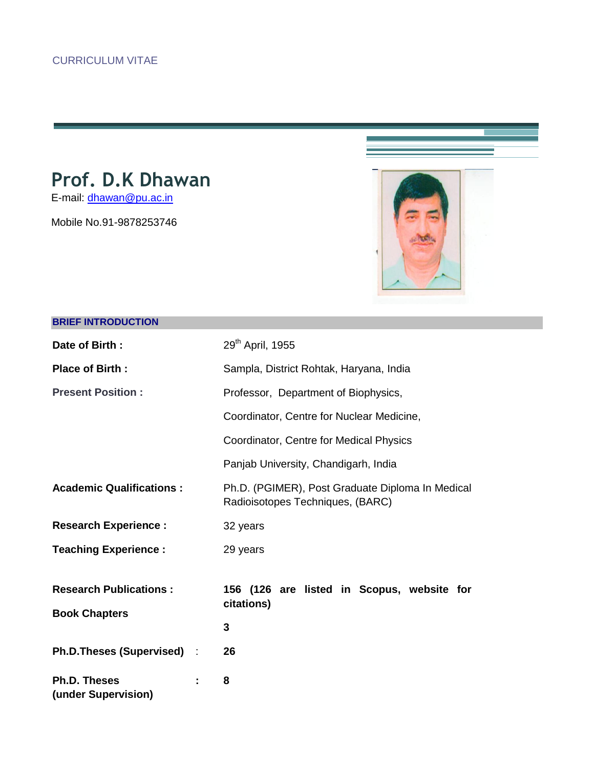# **Prof. D.K Dhawan**

E-mail: [dhawan@pu.ac.in](mailto:dhawan@pu.ac.in)

Mobile No.91-9878253746



# **BRIEF INTRODUCTION**

| Date of Birth:                                  | 29 <sup>th</sup> April, 1955                                                         |  |
|-------------------------------------------------|--------------------------------------------------------------------------------------|--|
| <b>Place of Birth:</b>                          | Sampla, District Rohtak, Haryana, India                                              |  |
| <b>Present Position:</b>                        | Professor, Department of Biophysics,                                                 |  |
|                                                 | Coordinator, Centre for Nuclear Medicine,                                            |  |
|                                                 | Coordinator, Centre for Medical Physics                                              |  |
|                                                 | Panjab University, Chandigarh, India                                                 |  |
| <b>Academic Qualifications:</b>                 | Ph.D. (PGIMER), Post Graduate Diploma In Medical<br>Radioisotopes Techniques, (BARC) |  |
| <b>Research Experience:</b>                     | 32 years                                                                             |  |
| <b>Teaching Experience:</b>                     | 29 years                                                                             |  |
| <b>Research Publications:</b>                   | 156 (126 are listed in Scopus, website for<br>citations)                             |  |
| <b>Book Chapters</b>                            | 3                                                                                    |  |
| Ph.D.Theses (Supervised) :                      | 26                                                                                   |  |
| <b>Ph.D. Theses</b><br>÷<br>(under Supervision) | 8                                                                                    |  |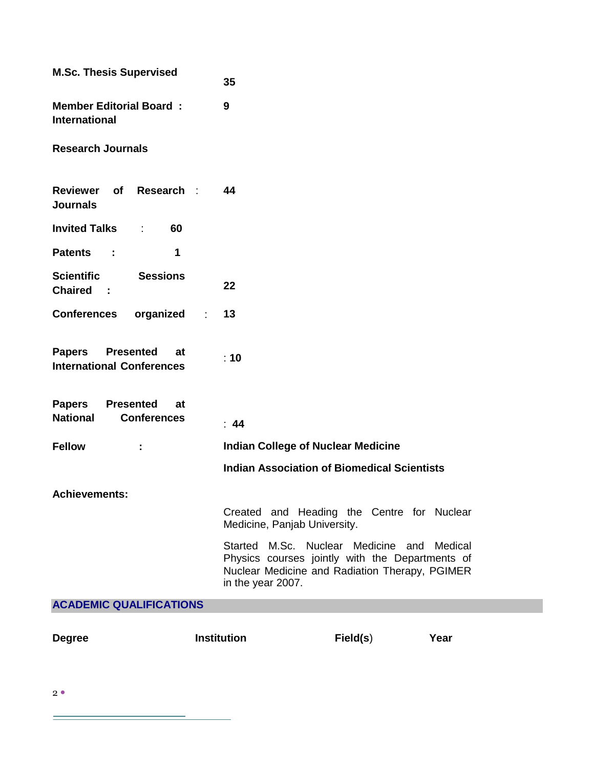| <b>M.Sc. Thesis Supervised</b>                                                   | 35                                                                                                                                                                   |
|----------------------------------------------------------------------------------|----------------------------------------------------------------------------------------------------------------------------------------------------------------------|
| <b>Member Editorial Board:</b><br><b>International</b>                           | 9                                                                                                                                                                    |
| <b>Research Journals</b>                                                         |                                                                                                                                                                      |
| Research :<br><b>Reviewer</b><br><b>of</b><br><b>Journals</b>                    | 44                                                                                                                                                                   |
| <b>Invited Talks</b><br>60<br>÷                                                  |                                                                                                                                                                      |
| 1<br><b>Patents</b><br>÷                                                         |                                                                                                                                                                      |
| <b>Scientific</b><br><b>Sessions</b><br><b>Chaired</b><br>$\sim$ 1               | 22                                                                                                                                                                   |
| <b>Conferences</b><br>organized                                                  | 13<br>÷                                                                                                                                                              |
| <b>Papers</b><br><b>Presented</b><br>at<br><b>International Conferences</b>      | : 10                                                                                                                                                                 |
| <b>Papers</b><br><b>Presented</b><br>at<br><b>National</b><br><b>Conferences</b> | : 44                                                                                                                                                                 |
| <b>Fellow</b><br>÷                                                               | <b>Indian College of Nuclear Medicine</b>                                                                                                                            |
|                                                                                  | <b>Indian Association of Biomedical Scientists</b>                                                                                                                   |
| <b>Achievements:</b>                                                             |                                                                                                                                                                      |
|                                                                                  | Created and Heading the Centre for Nuclear<br>Medicine, Panjab University.                                                                                           |
|                                                                                  | Started M.Sc. Nuclear Medicine and Medical<br>Physics courses jointly with the Departments of<br>Nuclear Medicine and Radiation Therapy, PGIMER<br>in the year 2007. |
| <b>ACADEMIC QUALIFICATIONS</b>                                                   |                                                                                                                                                                      |
| <b>Degree</b>                                                                    | <b>Institution</b><br>Field(s)<br>Year                                                                                                                               |

 $2^{\bullet}$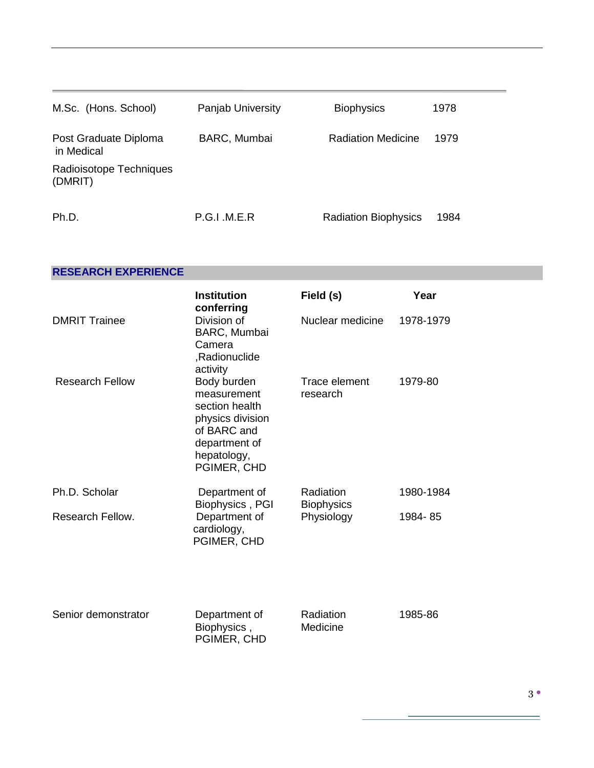| M.Sc. (Hons. School)                | <b>Panjab University</b> | <b>Biophysics</b>           | 1978 |
|-------------------------------------|--------------------------|-----------------------------|------|
| Post Graduate Diploma<br>in Medical | <b>BARC, Mumbai</b>      | <b>Radiation Medicine</b>   | 1979 |
| Radioisotope Techniques<br>(DMRIT)  |                          |                             |      |
| Ph.D.                               | P.G.I.M.E.R              | <b>Radiation Biophysics</b> | 1984 |

# **RESEARCH EXPERIENCE**

|                        | <b>Institution</b><br>conferring                                                                                               | Field (s)                      | Year      |
|------------------------|--------------------------------------------------------------------------------------------------------------------------------|--------------------------------|-----------|
| <b>DMRIT Trainee</b>   | Division of<br>BARC, Mumbai<br>Camera<br>,Radionuclide<br>activity                                                             | Nuclear medicine               | 1978-1979 |
| <b>Research Fellow</b> | Body burden<br>measurement<br>section health<br>physics division<br>of BARC and<br>department of<br>hepatology,<br>PGIMER, CHD | Trace element<br>research      | 1979-80   |
| Ph.D. Scholar          | Department of<br>Biophysics, PGI                                                                                               | Radiation<br><b>Biophysics</b> | 1980-1984 |
| Research Fellow.       | Department of<br>cardiology,<br>PGIMER, CHD                                                                                    | Physiology                     | 1984-85   |
| Senior demonstrator    | Department of<br>Biophysics,<br>PGIMER, CHD                                                                                    | Radiation<br>Medicine          | 1985-86   |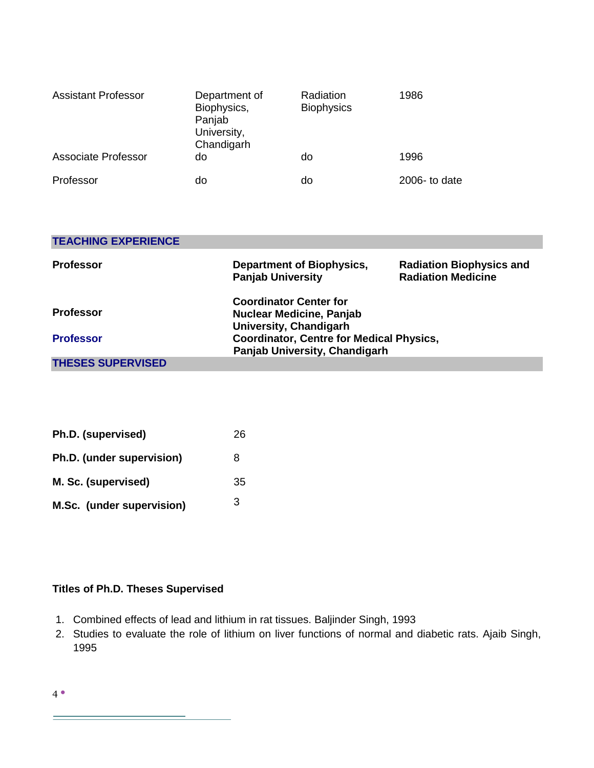| <b>Assistant Professor</b> | Department of<br>Biophysics,<br>Panjab<br>University,<br>Chandigarh | Radiation<br><b>Biophysics</b> | 1986         |
|----------------------------|---------------------------------------------------------------------|--------------------------------|--------------|
| Associate Professor        | do                                                                  | do                             | 1996         |
| Professor                  | do                                                                  | do                             | 2006-to date |

| <b>TEACHING EXPERIENCE</b> |                                                                                            |                                                              |
|----------------------------|--------------------------------------------------------------------------------------------|--------------------------------------------------------------|
| <b>Professor</b>           | <b>Department of Biophysics,</b><br><b>Panjab University</b>                               | <b>Radiation Biophysics and</b><br><b>Radiation Medicine</b> |
| <b>Professor</b>           | <b>Coordinator Center for</b><br><b>Nuclear Medicine, Panjab</b><br>University, Chandigarh |                                                              |
| <b>Professor</b>           | <b>Coordinator, Centre for Medical Physics,</b><br>Panjab University, Chandigarh           |                                                              |
| <b>THESES SUPERVISED</b>   |                                                                                            |                                                              |

| Ph.D. (supervised)        | 26 |
|---------------------------|----|
| Ph.D. (under supervision) | 8  |
| M. Sc. (supervised)       | 35 |
| M.Sc. (under supervision) | 3  |

# **Titles of Ph.D. Theses Supervised**

- 1. Combined effects of lead and lithium in rat tissues. Baljinder Singh, 1993
- 2. Studies to evaluate the role of lithium on liver functions of normal and diabetic rats. Ajaib Singh, 1995

4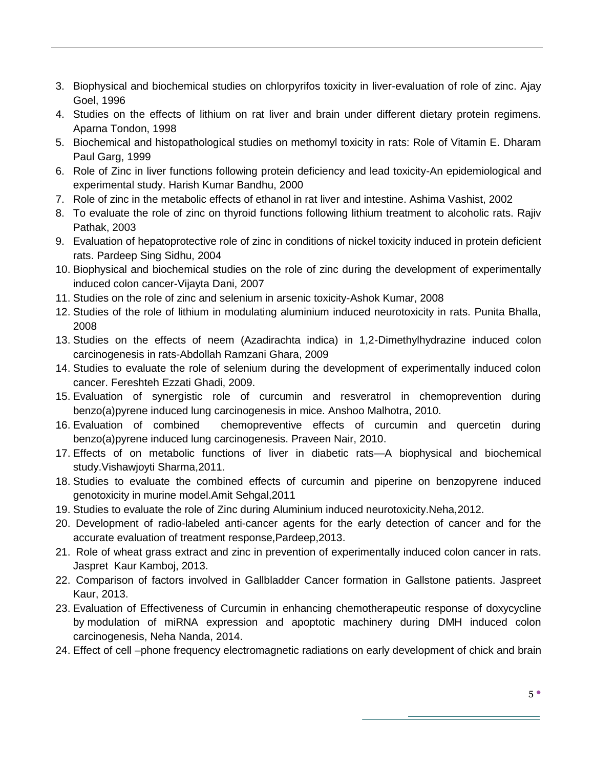- 3. Biophysical and biochemical studies on chlorpyrifos toxicity in liver-evaluation of role of zinc. Ajay Goel, 1996
- 4. Studies on the effects of lithium on rat liver and brain under different dietary protein regimens. Aparna Tondon, 1998
- 5. Biochemical and histopathological studies on methomyl toxicity in rats: Role of Vitamin E. Dharam Paul Garg, 1999
- 6. Role of Zinc in liver functions following protein deficiency and lead toxicity-An epidemiological and experimental study. Harish Kumar Bandhu, 2000
- 7. Role of zinc in the metabolic effects of ethanol in rat liver and intestine. Ashima Vashist, 2002
- 8. To evaluate the role of zinc on thyroid functions following lithium treatment to alcoholic rats. Rajiv Pathak, 2003
- 9. Evaluation of hepatoprotective role of zinc in conditions of nickel toxicity induced in protein deficient rats. Pardeep Sing Sidhu, 2004
- 10. Biophysical and biochemical studies on the role of zinc during the development of experimentally induced colon cancer-Vijayta Dani, 2007
- 11. Studies on the role of zinc and selenium in arsenic toxicity-Ashok Kumar, 2008
- 12. Studies of the role of lithium in modulating aluminium induced neurotoxicity in rats. Punita Bhalla, 2008
- 13. Studies on the effects of neem (Azadirachta indica) in 1,2-Dimethylhydrazine induced colon carcinogenesis in rats-Abdollah Ramzani Ghara, 2009
- 14. Studies to evaluate the role of selenium during the development of experimentally induced colon cancer. Fereshteh Ezzati Ghadi, 2009.
- 15. Evaluation of synergistic role of curcumin and resveratrol in chemoprevention during benzo(a)pyrene induced lung carcinogenesis in mice. Anshoo Malhotra, 2010.
- 16. Evaluation of combined chemopreventive effects of curcumin and quercetin during benzo(a)pyrene induced lung carcinogenesis. Praveen Nair, 2010.
- 17. Effects of on metabolic functions of liver in diabetic rats—A biophysical and biochemical study.Vishawjoyti Sharma,2011.
- 18. Studies to evaluate the combined effects of curcumin and piperine on benzopyrene induced genotoxicity in murine model.Amit Sehgal,2011
- 19. Studies to evaluate the role of Zinc during Aluminium induced neurotoxicity.Neha,2012.
- 20. Development of radio-labeled anti-cancer agents for the early detection of cancer and for the accurate evaluation of treatment response,Pardeep,2013.
- 21. Role of wheat grass extract and zinc in prevention of experimentally induced colon cancer in rats. Jaspret Kaur Kamboj, 2013.
- 22. Comparison of factors involved in Gallbladder Cancer formation in Gallstone patients. Jaspreet Kaur, 2013.
- 23. Evaluation of Effectiveness of Curcumin in enhancing chemotherapeutic response of doxycycline by modulation of miRNA expression and apoptotic machinery during DMH induced colon carcinogenesis, Neha Nanda, 2014.
- 24. Effect of cell –phone frequency electromagnetic radiations on early development of chick and brain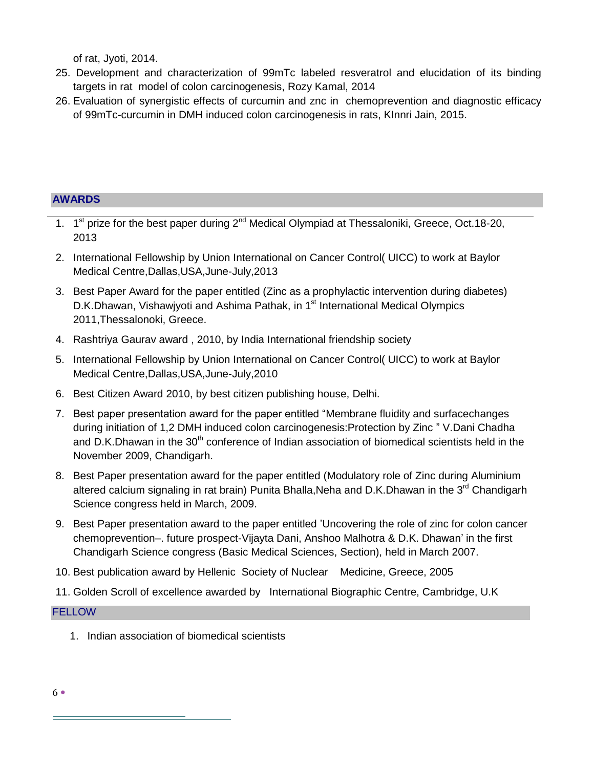of rat, Jyoti, 2014.

- 25. Development and characterization of 99mTc labeled resveratrol and elucidation of its binding targets in rat model of colon carcinogenesis, Rozy Kamal, 2014
- 26. Evaluation of synergistic effects of curcumin and znc in chemoprevention and diagnostic efficacy of 99mTc-curcumin in DMH induced colon carcinogenesis in rats, KInnri Jain, 2015.

# **AWARDS**

- 1. 1<sup>st</sup> prize for the best paper during 2<sup>nd</sup> Medical Olympiad at Thessaloniki, Greece, Oct.18-20, 2013
- 2. International Fellowship by Union International on Cancer Control( UICC) to work at Baylor Medical Centre,Dallas,USA,June-July,2013
- 3. Best Paper Award for the paper entitled (Zinc as a prophylactic intervention during diabetes) D.K.Dhawan, Vishawjyoti and Ashima Pathak, in 1<sup>st</sup> International Medical Olympics 2011,Thessalonoki, Greece.
- 4. Rashtriya Gaurav award , 2010, by India International friendship society
- 5. International Fellowship by Union International on Cancer Control( UICC) to work at Baylor Medical Centre,Dallas,USA,June-July,2010
- 6. Best Citizen Award 2010, by best citizen publishing house, Delhi.
- 7. Best paper presentation award for the paper entitled "Membrane fluidity and surfacechanges" during initiation of 1,2 DMH induced colon carcinogenesis: Protection by Zinc "V.Dani Chadha and D.K.Dhawan in the  $30<sup>th</sup>$  conference of Indian association of biomedical scientists held in the November 2009, Chandigarh.
- 8. Best Paper presentation award for the paper entitled (Modulatory role of Zinc during Aluminium altered calcium signaling in rat brain) Punita Bhalla,Neha and D.K.Dhawan in the 3<sup>rd</sup> Chandigarh Science congress held in March, 2009.
- 9. Best Paper presentation award to the paper entitled 'Uncovering the role of zinc for colon cancer chemoprevention–. future prospect-Vijayta Dani, Anshoo Malhotra & D.K. Dhawan' in the first Chandigarh Science congress (Basic Medical Sciences, Section), held in March 2007.
- 10. Best publication award by Hellenic Society of Nuclear Medicine, Greece, 2005
- 11. Golden Scroll of excellence awarded by International Biographic Centre, Cambridge, U.K

## **FELLOW**

1. Indian association of biomedical scientists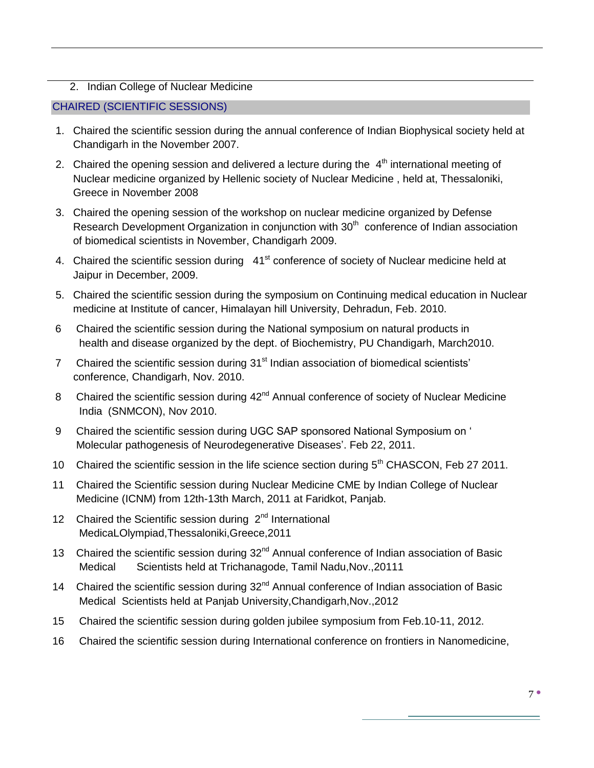# 2. Indian College of Nuclear Medicine

# CHAIRED (SCIENTIFIC SESSIONS)

- 1. Chaired the scientific session during the annual conference of Indian Biophysical society held at Chandigarh in the November 2007.
- 2. Chaired the opening session and delivered a lecture during the  $4<sup>th</sup>$  international meeting of Nuclear medicine organized by Hellenic society of Nuclear Medicine , held at, Thessaloniki, Greece in November 2008
- 3. Chaired the opening session of the workshop on nuclear medicine organized by Defense Research Development Organization in conjunction with  $30<sup>th</sup>$  conference of Indian association of biomedical scientists in November, Chandigarh 2009.
- 4. Chaired the scientific session during 41<sup>st</sup> conference of society of Nuclear medicine held at Jaipur in December, 2009.
- 5. Chaired the scientific session during the symposium on Continuing medical education in Nuclear medicine at Institute of cancer, Himalayan hill University, Dehradun, Feb. 2010.
- 6 Chaired the scientific session during the National symposium on natural products in health and disease organized by the dept. of Biochemistry, PU Chandigarh, March2010.
- 7 Chaired the scientific session during 31<sup>st</sup> Indian association of biomedical scientists' conference, Chandigarh, Nov. 2010.
- 8 Chaired the scientific session during 42<sup>nd</sup> Annual conference of society of Nuclear Medicine India (SNMCON), Nov 2010.
- 9 Chaired the scientific session during UGC SAP sponsored National Symposium on ' Molecular pathogenesis of Neurodegenerative Diseases'. Feb 22, 2011.
- 10 Chaired the scientific session in the life science section during 5<sup>th</sup> CHASCON, Feb 27 2011.
- 11 Chaired the Scientific session during Nuclear Medicine CME by Indian College of Nuclear Medicine (ICNM) from 12th-13th March, 2011 at Faridkot, Panjab.
- 12 Chaired the Scientific session during  $2^{nd}$  International MedicaLOlympiad,Thessaloniki,Greece,2011
- 13 Chaired the scientific session during 32<sup>nd</sup> Annual conference of Indian association of Basic Medical Scientists held at Trichanagode, Tamil Nadu,Nov.,20111
- 14 Chaired the scientific session during  $32<sup>nd</sup>$  Annual conference of Indian association of Basic Medical Scientists held at Panjab University,Chandigarh,Nov.,2012
- 15 Chaired the scientific session during golden jubilee symposium from Feb.10-11, 2012.
- 16 Chaired the scientific session during International conference on frontiers in Nanomedicine,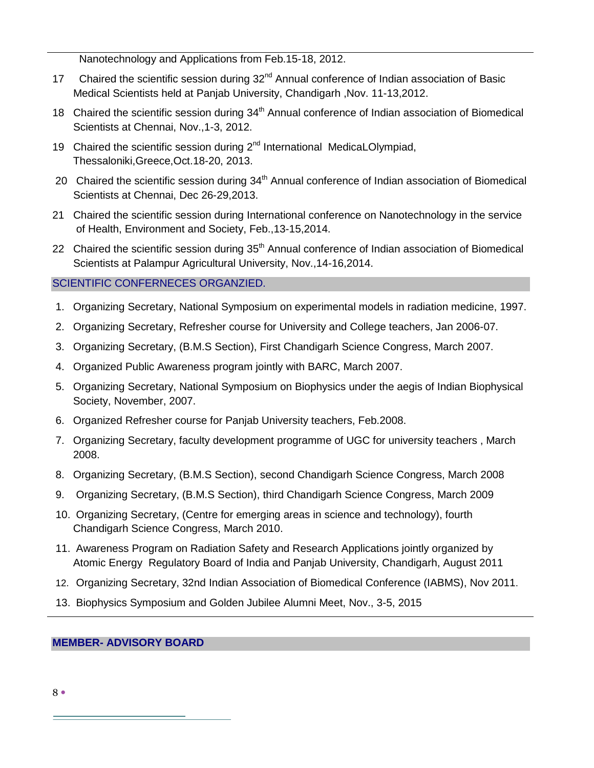Nanotechnology and Applications from Feb.15-18, 2012.

- 17 Chaired the scientific session during 32<sup>nd</sup> Annual conference of Indian association of Basic Medical Scientists held at Panjab University, Chandigarh ,Nov. 11-13,2012.
- 18 Chaired the scientific session during  $34<sup>th</sup>$  Annual conference of Indian association of Biomedical Scientists at Chennai, Nov.,1-3, 2012.
- 19 Chaired the scientific session during  $2^{nd}$  International MedicaLOlympiad, Thessaloniki,Greece,Oct.18-20, 2013.
- 20 Chaired the scientific session during  $34<sup>th</sup>$  Annual conference of Indian association of Biomedical Scientists at Chennai, Dec 26-29,2013.
- 21 Chaired the scientific session during International conference on Nanotechnology in the service of Health, Environment and Society, Feb.,13-15,2014.
- 22 Chaired the scientific session during 35<sup>th</sup> Annual conference of Indian association of Biomedical Scientists at Palampur Agricultural University, Nov.,14-16,2014.

# SCIENTIFIC CONFERNECES ORGANZIED.

- 1. Organizing Secretary, National Symposium on experimental models in radiation medicine, 1997.
- 2. Organizing Secretary, Refresher course for University and College teachers, Jan 2006-07.
- 3. Organizing Secretary, (B.M.S Section), First Chandigarh Science Congress, March 2007.
- 4. Organized Public Awareness program jointly with BARC, March 2007.
- 5. Organizing Secretary, National Symposium on Biophysics under the aegis of Indian Biophysical Society, November, 2007.
- 6. Organized Refresher course for Panjab University teachers, Feb.2008.
- 7. Organizing Secretary, faculty development programme of UGC for university teachers , March 2008.
- 8. Organizing Secretary, (B.M.S Section), second Chandigarh Science Congress, March 2008
- 9. Organizing Secretary, (B.M.S Section), third Chandigarh Science Congress, March 2009
- 10. Organizing Secretary, (Centre for emerging areas in science and technology), fourth Chandigarh Science Congress, March 2010.
- 11. Awareness Program on Radiation Safety and Research Applications jointly organized by Atomic Energy Regulatory Board of India and Panjab University, Chandigarh, August 2011
- 12. Organizing Secretary, 32nd Indian Association of Biomedical Conference (IABMS), Nov 2011.
- 13. Biophysics Symposium and Golden Jubilee Alumni Meet, Nov., 3-5, 2015

## **MEMBER- ADVISORY BOARD**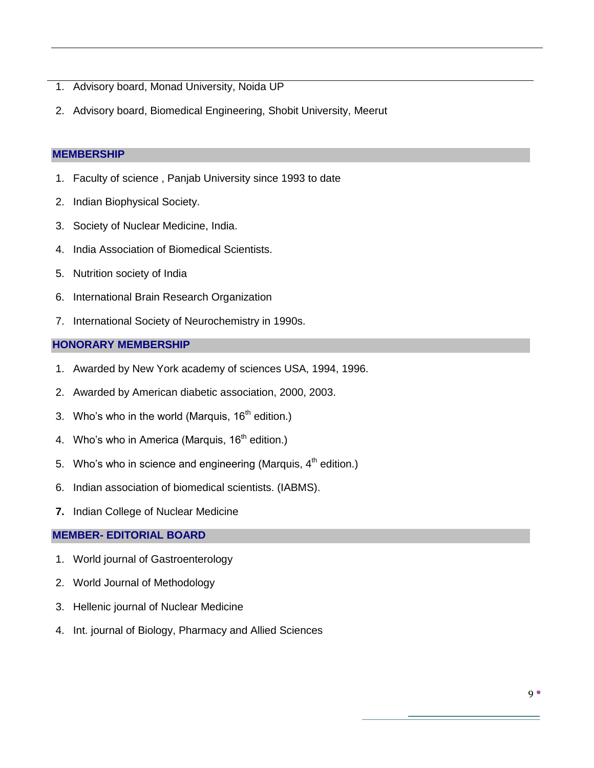- 1. Advisory board, Monad University, Noida UP
- 2. Advisory board, Biomedical Engineering, Shobit University, Meerut

## **MEMBERSHIP**

- 1. Faculty of science , Panjab University since 1993 to date
- 2. Indian Biophysical Society.
- 3. Society of Nuclear Medicine, India.
- 4. India Association of Biomedical Scientists.
- 5. Nutrition society of India
- 6. International Brain Research Organization
- 7. International Society of Neurochemistry in 1990s.

## **HONORARY MEMBERSHIP**

- 1. Awarded by New York academy of sciences USA, 1994, 1996.
- 2. Awarded by American diabetic association, 2000, 2003.
- 3. Who's who in the world (Marquis,  $16<sup>th</sup>$  edition.)
- 4. Who's who in America (Marquis,  $16<sup>th</sup>$  edition.)
- 5. Who's who in science and engineering (Marquis,  $4<sup>th</sup>$  edition.)
- 6. Indian association of biomedical scientists. (IABMS).
- **7.** Indian College of Nuclear Medicine

## **MEMBER- EDITORIAL BOARD**

- 1. World journal of Gastroenterology
- 2. World Journal of Methodology
- 3. Hellenic journal of Nuclear Medicine
- 4. Int. journal of Biology, Pharmacy and Allied Sciences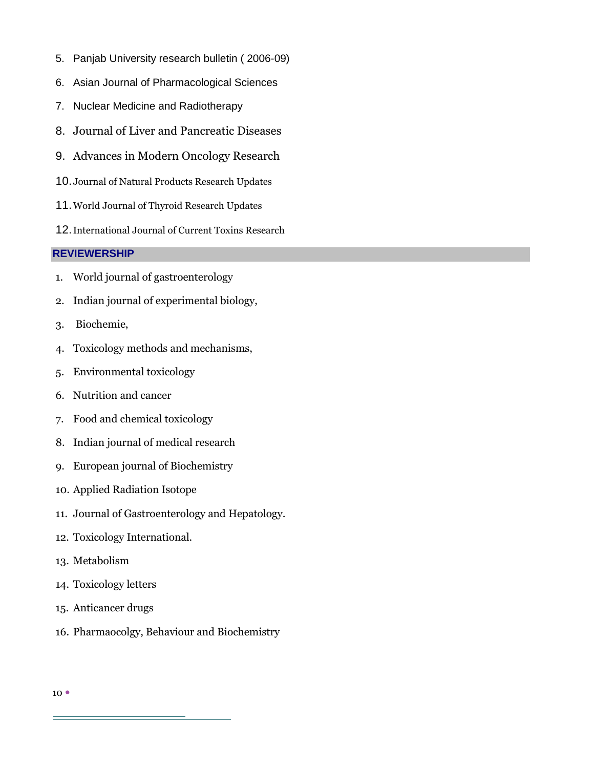- 5. Panjab University research bulletin ( 2006-09)
- 6. Asian Journal of Pharmacological Sciences
- 7. Nuclear Medicine and Radiotherapy
- 8. Journal of Liver and Pancreatic Diseases
- 9. Advances in Modern Oncology Research
- 10.Journal of Natural Products Research Updates
- 11.World Journal of Thyroid Research Updates
- 12.International Journal of Current Toxins Research

#### **REVIEWERSHIP**

- 1. World journal of gastroenterology
- 2. Indian journal of experimental biology,
- 3. Biochemie,
- 4. Toxicology methods and mechanisms,
- 5. Environmental toxicology
- 6. Nutrition and cancer
- 7. Food and chemical toxicology
- 8. Indian journal of medical research
- 9. European journal of Biochemistry
- 10. Applied Radiation Isotope
- 11. Journal of Gastroenterology and Hepatology.
- 12. Toxicology International.
- 13. Metabolism
- 14. Toxicology letters
- 15. Anticancer drugs
- 16. Pharmaocolgy, Behaviour and Biochemistry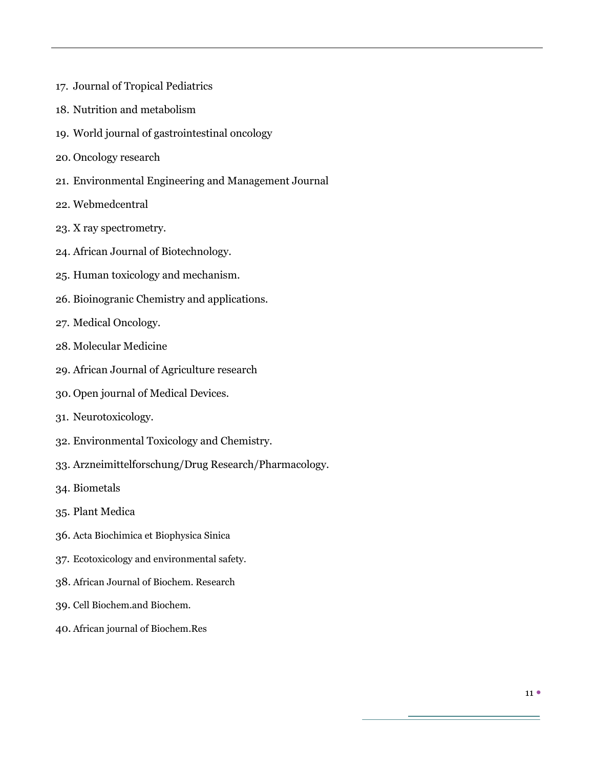- 17. Journal of Tropical Pediatrics
- 18. Nutrition and metabolism
- 19. World journal of gastrointestinal oncology
- 20. Oncology research
- 21. Environmental Engineering and Management Journal
- 22. Webmedcentral
- 23. X ray spectrometry.
- 24. African Journal of Biotechnology.
- 25. Human toxicology and mechanism.
- 26. Bioinogranic Chemistry and applications.
- 27. Medical Oncology.
- 28. Molecular Medicine
- 29. African Journal of Agriculture research
- 30. Open journal of Medical Devices.
- 31. Neurotoxicology.
- 32. Environmental Toxicology and Chemistry.
- 33. Arzneimittelforschung/Drug Research/Pharmacology.
- 34. Biometals
- 35. Plant Medica
- 36. Acta Biochimica et Biophysica Sinica
- 37. Ecotoxicology and environmental safety.
- 38. African Journal of Biochem. Research
- 39. Cell Biochem.and Biochem.
- 40. African journal of Biochem.Res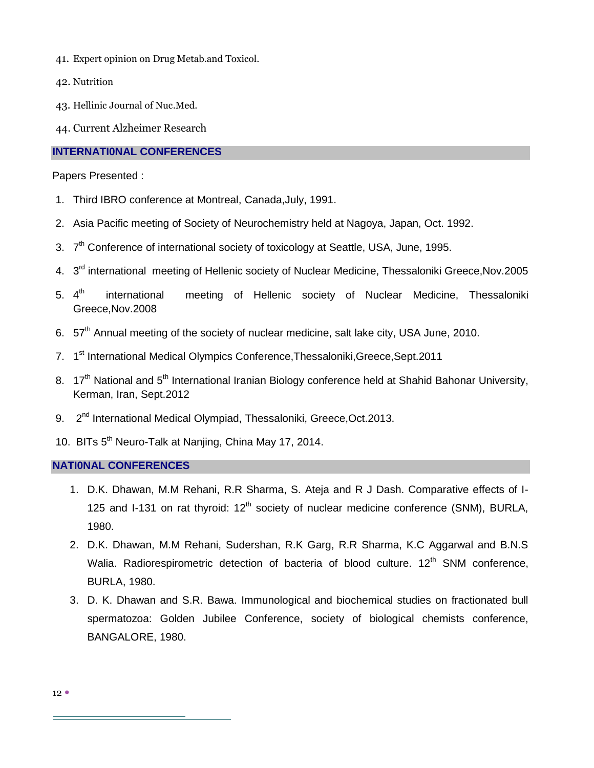- 41. Expert opinion on Drug Metab.and Toxicol.
- 42. Nutrition
- 43. Hellinic Journal of Nuc.Med.
- 44. Current Alzheimer Research

### **INTERNATI0NAL CONFERENCES**

Papers Presented :

- 1. Third IBRO conference at Montreal, Canada,July, 1991.
- 2. Asia Pacific meeting of Society of Neurochemistry held at Nagoya, Japan, Oct. 1992.
- 3. 7<sup>th</sup> Conference of international society of toxicology at Seattle, USA, June, 1995.
- 4. 3<sup>rd</sup> international meeting of Hellenic society of Nuclear Medicine, Thessaloniki Greece, Nov. 2005
- 5.  $4^{th}$ international meeting of Hellenic society of Nuclear Medicine, Thessaloniki Greece,Nov.2008
- 6. 57<sup>th</sup> Annual meeting of the society of nuclear medicine, salt lake city, USA June, 2010.
- 7. 1<sup>st</sup> International Medical Olympics Conference, Thessaloniki, Greece, Sept. 2011
- 8. 17<sup>th</sup> National and 5<sup>th</sup> International Iranian Biology conference held at Shahid Bahonar University, Kerman, Iran, Sept.2012
- 9. 2<sup>nd</sup> International Medical Olympiad, Thessaloniki, Greece, Oct. 2013.
- 10. BITs 5<sup>th</sup> Neuro-Talk at Nanjing, China May 17, 2014.

#### **NATI0NAL CONFERENCES**

- 1. D.K. Dhawan, M.M Rehani, R.R Sharma, S. Ateja and R J Dash. Comparative effects of I-125 and I-131 on rat thyroid:  $12<sup>th</sup>$  society of nuclear medicine conference (SNM), BURLA, 1980.
- 2. D.K. Dhawan, M.M Rehani, Sudershan, R.K Garg, R.R Sharma, K.C Aggarwal and B.N.S Walia. Radiorespirometric detection of bacteria of blood culture. 12<sup>th</sup> SNM conference, BURLA, 1980.
- 3. D. K. Dhawan and S.R. Bawa. Immunological and biochemical studies on fractionated bull spermatozoa: Golden Jubilee Conference, society of biological chemists conference, BANGALORE, 1980.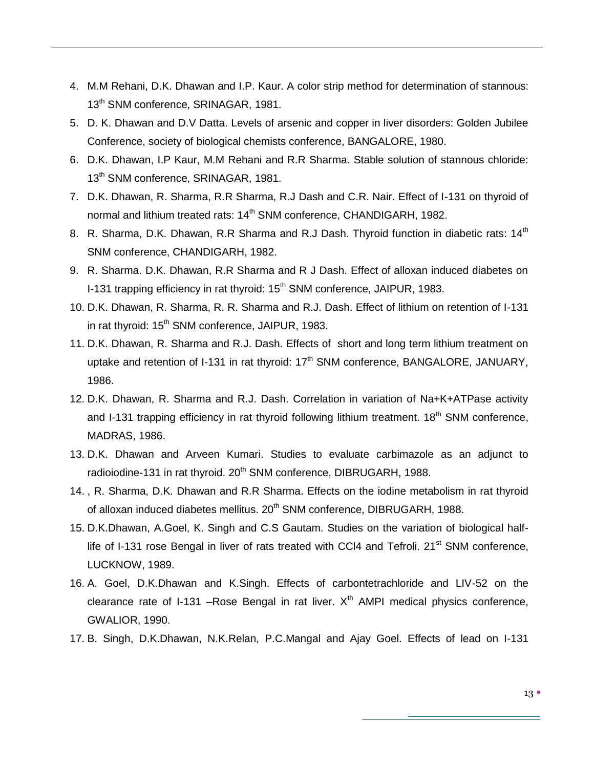- 4. M.M Rehani, D.K. Dhawan and I.P. Kaur. A color strip method for determination of stannous: 13<sup>th</sup> SNM conference, SRINAGAR, 1981.
- 5. D. K. Dhawan and D.V Datta. Levels of arsenic and copper in liver disorders: Golden Jubilee Conference, society of biological chemists conference, BANGALORE, 1980.
- 6. D.K. Dhawan, I.P Kaur, M.M Rehani and R.R Sharma. Stable solution of stannous chloride: 13<sup>th</sup> SNM conference, SRINAGAR, 1981.
- 7. D.K. Dhawan, R. Sharma, R.R Sharma, R.J Dash and C.R. Nair. Effect of I-131 on thyroid of normal and lithium treated rats: 14<sup>th</sup> SNM conference, CHANDIGARH, 1982.
- 8. R. Sharma, D.K. Dhawan, R.R Sharma and R.J Dash. Thyroid function in diabetic rats: 14<sup>th</sup> SNM conference, CHANDIGARH, 1982.
- 9. R. Sharma. D.K. Dhawan, R.R Sharma and R J Dash. Effect of alloxan induced diabetes on I-131 trapping efficiency in rat thyroid: 15<sup>th</sup> SNM conference, JAIPUR, 1983.
- 10. D.K. Dhawan, R. Sharma, R. R. Sharma and R.J. Dash. Effect of lithium on retention of I-131 in rat thyroid: 15<sup>th</sup> SNM conference, JAIPUR, 1983.
- 11. D.K. Dhawan, R. Sharma and R.J. Dash. Effects of short and long term lithium treatment on uptake and retention of I-131 in rat thyroid:  $17<sup>th</sup>$  SNM conference, BANGALORE, JANUARY, 1986.
- 12. D.K. Dhawan, R. Sharma and R.J. Dash. Correlation in variation of Na+K+ATPase activity and I-131 trapping efficiency in rat thyroid following lithium treatment.  $18<sup>th</sup>$  SNM conference. MADRAS, 1986.
- 13. D.K. Dhawan and Arveen Kumari. Studies to evaluate carbimazole as an adjunct to radioiodine-131 in rat thyroid. 20<sup>th</sup> SNM conference, DIBRUGARH, 1988.
- 14. , R. Sharma, D.K. Dhawan and R.R Sharma. Effects on the iodine metabolism in rat thyroid of alloxan induced diabetes mellitus. 20<sup>th</sup> SNM conference, DIBRUGARH, 1988.
- 15. D.K.Dhawan, A.Goel, K. Singh and C.S Gautam. Studies on the variation of biological halflife of I-131 rose Bengal in liver of rats treated with CCI4 and Tefroli.  $21<sup>st</sup>$  SNM conference, LUCKNOW, 1989.
- 16. A. Goel, D.K.Dhawan and K.Singh. Effects of carbontetrachloride and LIV-52 on the clearance rate of I-131 –Rose Bengal in rat liver.  $X<sup>th</sup>$  AMPI medical physics conference, GWALIOR, 1990.
- 17. B. Singh, D.K.Dhawan, N.K.Relan, P.C.Mangal and Ajay Goel. Effects of lead on I-131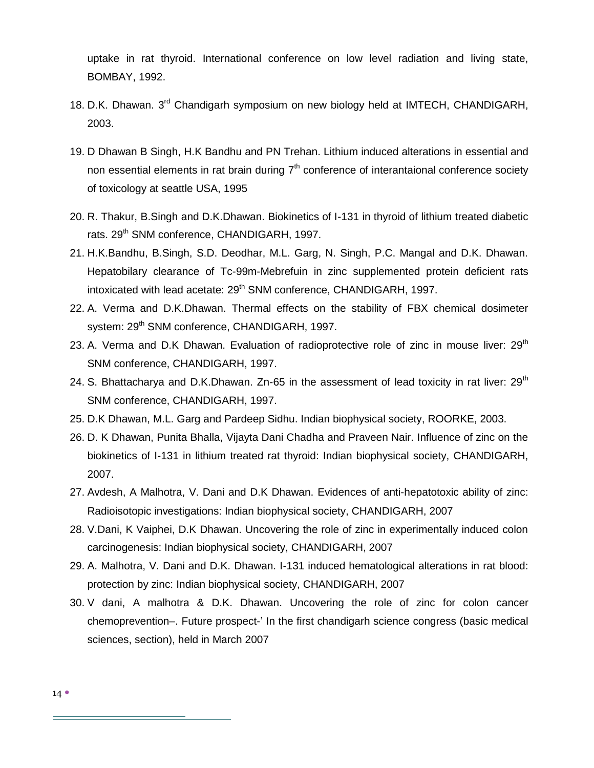uptake in rat thyroid. International conference on low level radiation and living state, BOMBAY, 1992.

- 18. D.K. Dhawan. 3<sup>rd</sup> Chandigarh symposium on new biology held at IMTECH, CHANDIGARH, 2003.
- 19. D Dhawan B Singh, H.K Bandhu and PN Trehan. Lithium induced alterations in essential and non essential elements in rat brain during  $7<sup>th</sup>$  conference of interantaional conference society of toxicology at seattle USA, 1995
- 20. R. Thakur, B.Singh and D.K.Dhawan. Biokinetics of I-131 in thyroid of lithium treated diabetic rats. 29<sup>th</sup> SNM conference, CHANDIGARH, 1997.
- 21. H.K.Bandhu, B.Singh, S.D. Deodhar, M.L. Garg, N. Singh, P.C. Mangal and D.K. Dhawan. Hepatobilary clearance of Tc-99m-Mebrefuin in zinc supplemented protein deficient rats intoxicated with lead acetate: 29<sup>th</sup> SNM conference, CHANDIGARH, 1997.
- 22. A. Verma and D.K.Dhawan. Thermal effects on the stability of FBX chemical dosimeter system: 29<sup>th</sup> SNM conference, CHANDIGARH, 1997.
- 23. A. Verma and D.K Dhawan. Evaluation of radioprotective role of zinc in mouse liver:  $29<sup>th</sup>$ SNM conference, CHANDIGARH, 1997.
- 24. S. Bhattacharya and D.K.Dhawan. Zn-65 in the assessment of lead toxicity in rat liver:  $29<sup>th</sup>$ SNM conference, CHANDIGARH, 1997.
- 25. D.K Dhawan, M.L. Garg and Pardeep Sidhu. Indian biophysical society, ROORKE, 2003.
- 26. D. K Dhawan, Punita Bhalla, Vijayta Dani Chadha and Praveen Nair. Influence of zinc on the biokinetics of I-131 in lithium treated rat thyroid: Indian biophysical society, CHANDIGARH, 2007.
- 27. Avdesh, A Malhotra, V. Dani and D.K Dhawan. Evidences of anti-hepatotoxic ability of zinc: Radioisotopic investigations: Indian biophysical society, CHANDIGARH, 2007
- 28. V.Dani, K Vaiphei, D.K Dhawan. Uncovering the role of zinc in experimentally induced colon carcinogenesis: Indian biophysical society, CHANDIGARH, 2007
- 29. A. Malhotra, V. Dani and D.K. Dhawan. I-131 induced hematological alterations in rat blood: protection by zinc: Indian biophysical society, CHANDIGARH, 2007
- 30. V dani, A malhotra & D.K. Dhawan. Uncovering the role of zinc for colon cancer chemoprevention–. Future prospect-' In the first chandigarh science congress (basic medical sciences, section), held in March 2007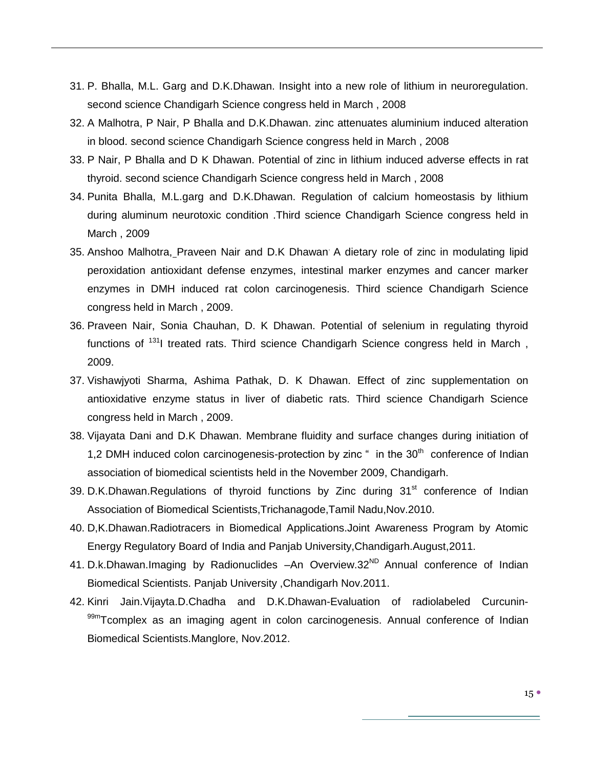- 31. P. Bhalla, M.L. Garg and D.K.Dhawan. Insight into a new role of lithium in neuroregulation. second science Chandigarh Science congress held in March , 2008
- 32. A Malhotra, P Nair, P Bhalla and D.K.Dhawan. zinc attenuates aluminium induced alteration in blood. second science Chandigarh Science congress held in March , 2008
- 33. P Nair, P Bhalla and D K Dhawan. Potential of zinc in lithium induced adverse effects in rat thyroid. second science Chandigarh Science congress held in March , 2008
- 34. Punita Bhalla, M.L.garg and D.K.Dhawan. Regulation of calcium homeostasis by lithium during aluminum neurotoxic condition .Third science Chandigarh Science congress held in March , 2009
- 35. Anshoo Malhotra, Praveen Nair and D.K Dhawan. A dietary role of zinc in modulating lipid peroxidation antioxidant defense enzymes, intestinal marker enzymes and cancer marker enzymes in DMH induced rat colon carcinogenesis. Third science Chandigarh Science congress held in March , 2009.
- 36. Praveen Nair, Sonia Chauhan, D. K Dhawan. Potential of selenium in regulating thyroid functions of  $131$  treated rats. Third science Chandigarh Science congress held in March, 2009.
- 37. Vishawjyoti Sharma, Ashima Pathak, D. K Dhawan. Effect of zinc supplementation on antioxidative enzyme status in liver of diabetic rats. Third science Chandigarh Science congress held in March , 2009.
- 38. Vijayata Dani and D.K Dhawan. Membrane fluidity and surface changes during initiation of 1,2 DMH induced colon carcinogenesis-protection by zinc  $\degree$  in the 30<sup>th</sup> conference of Indian association of biomedical scientists held in the November 2009, Chandigarh.
- 39. D.K.Dhawan.Regulations of thyroid functions by Zinc during 31<sup>st</sup> conference of Indian Association of Biomedical Scientists,Trichanagode,Tamil Nadu,Nov.2010.
- 40. D,K.Dhawan.Radiotracers in Biomedical Applications.Joint Awareness Program by Atomic Energy Regulatory Board of India and Panjab University,Chandigarh.August,2011.
- 41. D.k.Dhawan.Imaging by Radionuclides -An Overview.32<sup>ND</sup> Annual conference of Indian Biomedical Scientists. Panjab University ,Chandigarh Nov.2011.
- 42. Kinri Jain.Vijayta.D.Chadha and D.K.Dhawan-Evaluation of radiolabeled Curcunin-99mTcomplex as an imaging agent in colon carcinogenesis. Annual conference of Indian Biomedical Scientists.Manglore, Nov.2012.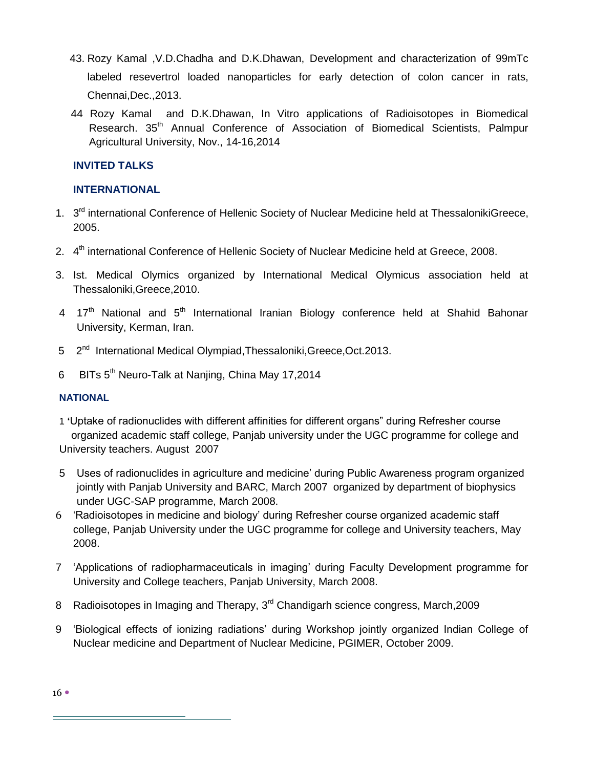- 43. Rozy Kamal ,V.D.Chadha and D.K.Dhawan, Development and characterization of 99mTc labeled resevertrol loaded nanoparticles for early detection of colon cancer in rats, Chennai,Dec.,2013.
- 44 Rozy Kamal and D.K.Dhawan, In Vitro applications of Radioisotopes in Biomedical Research. 35<sup>th</sup> Annual Conference of Association of Biomedical Scientists. Palmpur Agricultural University, Nov., 14-16,2014

# **INVITED TALKS**

# **INTERNATIONAL**

- 1. 3<sup>rd</sup> international Conference of Hellenic Society of Nuclear Medicine held at ThessalonikiGreece, 2005.
- 2. 4<sup>th</sup> international Conference of Hellenic Society of Nuclear Medicine held at Greece, 2008.
- 3. Ist. Medical Olymics organized by International Medical Olymicus association held at Thessaloniki,Greece,2010.
- 4 17<sup>th</sup> National and 5<sup>th</sup> International Iranian Biology conference held at Shahid Bahonar University, Kerman, Iran.
- 5 2<sup>nd</sup> International Medical Olympiad, Thessaloniki, Greece, Oct. 2013.
- 6 BITs 5<sup>th</sup> Neuro-Talk at Nanjing, China May 17,2014

## **NATIONAL**

1 **'**Uptake of radionuclides with different affinities for different organs‖ during Refresher course organized academic staff college, Panjab university under the UGC programme for college and University teachers. August 2007

- 5 Uses of radionuclides in agriculture and medicine' during Public Awareness program organized jointly with Panjab University and BARC, March 2007 organized by department of biophysics under UGC-SAP programme, March 2008.
- 6 ‗Radioisotopes in medicine and biology' during Refresher course organized academic staff college, Panjab University under the UGC programme for college and University teachers, May 2008.
- 7 ‗Applications of radiopharmaceuticals in imaging' during Faculty Development programme for University and College teachers, Panjab University, March 2008.
- 8 Radioisotopes in Imaging and Therapy, 3<sup>rd</sup> Chandigarh science congress, March, 2009
- 9 ‗Biological effects of ionizing radiations' during Workshop jointly organized Indian College of Nuclear medicine and Department of Nuclear Medicine, PGIMER, October 2009.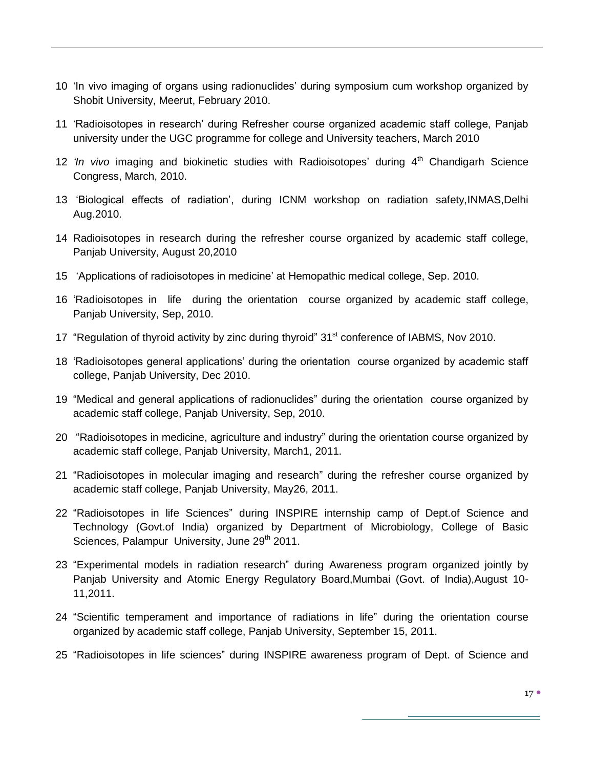- 10 'In vivo imaging of organs using radionuclides' during symposium cum workshop organized by Shobit University, Meerut, February 2010.
- 11 ‗Radioisotopes in research' during Refresher course organized academic staff college, Panjab university under the UGC programme for college and University teachers, March 2010
- 12 'In vivo imaging and biokinetic studies with Radioisotopes' during 4<sup>th</sup> Chandigarh Science Congress, March, 2010.
- 13 ‗Biological effects of radiation', during ICNM workshop on radiation safety,INMAS,Delhi Aug.2010.
- 14 Radioisotopes in research during the refresher course organized by academic staff college, Panjab University, August 20,2010
- 15 'Applications of radioisotopes in medicine' at Hemopathic medical college, Sep. 2010.
- 16 ‗Radioisotopes in life during the orientation course organized by academic staff college, Panjab University, Sep, 2010.
- 17 "Regulation of thyroid activity by zinc during thyroid" 31<sup>st</sup> conference of IABMS, Nov 2010.
- 18 ‗Radioisotopes general applications' during the orientation course organized by academic staff college, Panjab University, Dec 2010.
- 19 "Medical and general applications of radionuclides" during the orientation course organized by academic staff college, Panjab University, Sep, 2010.
- 20 "Radioisotopes in medicine, agriculture and industry" during the orientation course organized by academic staff college, Panjab University, March1, 2011.
- 21 "Radioisotopes in molecular imaging and research" during the refresher course organized by academic staff college, Panjab University, May26, 2011.
- 22 "Radioisotopes in life Sciences" during INSPIRE internship camp of Dept.of Science and Technology (Govt.of India) organized by Department of Microbiology, College of Basic Sciences, Palampur University, June 29<sup>th</sup> 2011.
- 23 "Experimental models in radiation research" during Awareness program organized jointly by Panjab University and Atomic Energy Regulatory Board,Mumbai (Govt. of India),August 10- 11,2011.
- 24 "Scientific temperament and importance of radiations in life" during the orientation course organized by academic staff college, Panjab University, September 15, 2011.
- 25 "Radioisotopes in life sciences" during INSPIRE awareness program of Dept. of Science and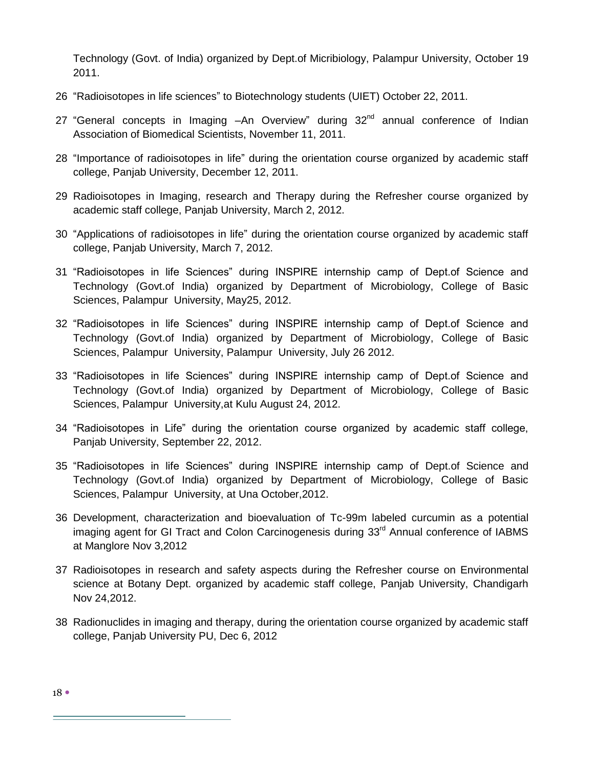Technology (Govt. of India) organized by Dept.of Micribiology, Palampur University, October 19 2011.

- 26 "Radioisotopes in life sciences" to Biotechnology students (UIET) October 22, 2011.
- 27 "General concepts in Imaging  $-An$  Overview" during  $32<sup>nd</sup>$  annual conference of Indian Association of Biomedical Scientists, November 11, 2011.
- 28 "Importance of radioisotopes in life" during the orientation course organized by academic staff college, Panjab University, December 12, 2011.
- 29 Radioisotopes in Imaging, research and Therapy during the Refresher course organized by academic staff college, Panjab University, March 2, 2012.
- 30 "Applications of radioisotopes in life" during the orientation course organized by academic staff college, Panjab University, March 7, 2012.
- 31 "Radioisotopes in life Sciences" during INSPIRE internship camp of Dept.of Science and Technology (Govt.of India) organized by Department of Microbiology, College of Basic Sciences, Palampur University, May25, 2012.
- 32 "Radioisotopes in life Sciences" during INSPIRE internship camp of Dept.of Science and Technology (Govt.of India) organized by Department of Microbiology, College of Basic Sciences, Palampur University, Palampur University, July 26 2012.
- 33 "Radioisotopes in life Sciences" during INSPIRE internship camp of Dept.of Science and Technology (Govt.of India) organized by Department of Microbiology, College of Basic Sciences, Palampur University,at Kulu August 24, 2012.
- 34 "Radioisotopes in Life" during the orientation course organized by academic staff college, Panjab University, September 22, 2012.
- 35 "Radioisotopes in life Sciences" during INSPIRE internship camp of Dept.of Science and Technology (Govt.of India) organized by Department of Microbiology, College of Basic Sciences, Palampur University, at Una October,2012.
- 36 Development, characterization and bioevaluation of Tc-99m labeled curcumin as a potential imaging agent for GI Tract and Colon Carcinogenesis during 33<sup>rd</sup> Annual conference of IABMS at Manglore Nov 3,2012
- 37 Radioisotopes in research and safety aspects during the Refresher course on Environmental science at Botany Dept. organized by academic staff college, Panjab University, Chandigarh Nov 24,2012.
- 38 Radionuclides in imaging and therapy, during the orientation course organized by academic staff college, Panjab University PU, Dec 6, 2012

18 •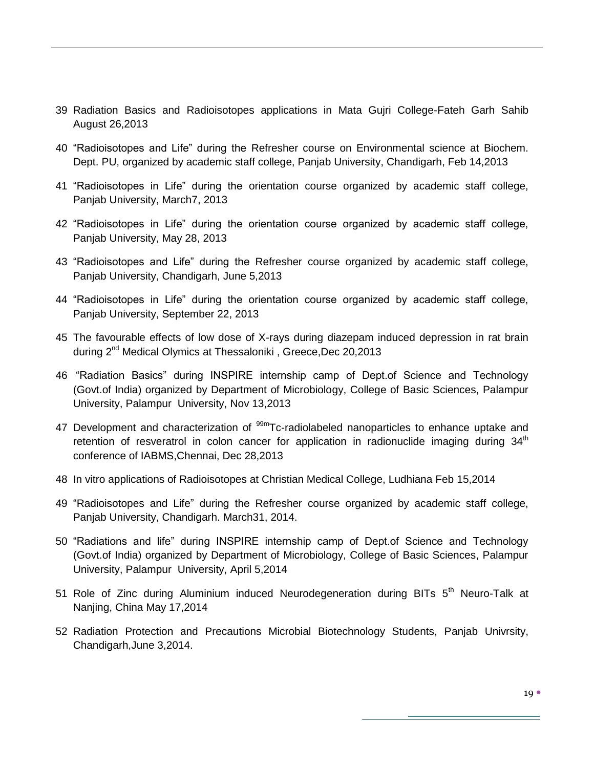- 39 Radiation Basics and Radioisotopes applications in Mata Gujri College-Fateh Garh Sahib August 26,2013
- 40 "Radioisotopes and Life" during the Refresher course on Environmental science at Biochem. Dept. PU, organized by academic staff college, Panjab University, Chandigarh, Feb 14,2013
- 41 "Radioisotopes in Life" during the orientation course organized by academic staff college, Panjab University, March7, 2013
- 42 "Radioisotopes in Life" during the orientation course organized by academic staff college, Panjab University, May 28, 2013
- 43 "Radioisotopes and Life" during the Refresher course organized by academic staff college, Panjab University, Chandigarh, June 5,2013
- 44 "Radioisotopes in Life" during the orientation course organized by academic staff college, Panjab University, September 22, 2013
- 45 The favourable effects of low dose of X-rays during diazepam induced depression in rat brain during 2<sup>nd</sup> Medical Olymics at Thessaloniki, Greece, Dec 20, 2013
- 46 "Radiation Basics" during INSPIRE internship camp of Dept.of Science and Technology (Govt.of India) organized by Department of Microbiology, College of Basic Sciences, Palampur University, Palampur University, Nov 13,2013
- 47 Development and characterization of <sup>99m</sup>Tc-radiolabeled nanoparticles to enhance uptake and retention of resveratrol in colon cancer for application in radionuclide imaging during  $34<sup>th</sup>$ conference of IABMS,Chennai, Dec 28,2013
- 48 In vitro applications of Radioisotopes at Christian Medical College, Ludhiana Feb 15,2014
- 49 "Radioisotopes and Life" during the Refresher course organized by academic staff college, Panjab University, Chandigarh. March31, 2014.
- 50 "Radiations and life" during INSPIRE internship camp of Dept.of Science and Technology (Govt.of India) organized by Department of Microbiology, College of Basic Sciences, Palampur University, Palampur University, April 5,2014
- 51 Role of Zinc during Aluminium induced Neurodegeneration during BITs  $5<sup>th</sup>$  Neuro-Talk at Nanjing, China May 17,2014
- 52 Radiation Protection and Precautions Microbial Biotechnology Students, Panjab Univrsity, Chandigarh,June 3,2014.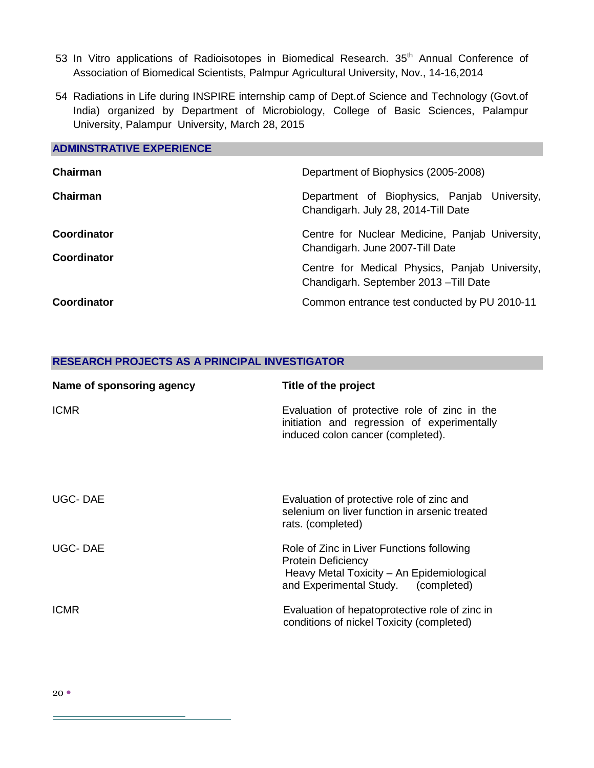- 53 In Vitro applications of Radioisotopes in Biomedical Research. 35<sup>th</sup> Annual Conference of Association of Biomedical Scientists, Palmpur Agricultural University, Nov., 14-16,2014
- 54 Radiations in Life during INSPIRE internship camp of Dept.of Science and Technology (Govt.of India) organized by Department of Microbiology, College of Basic Sciences, Palampur University, Palampur University, March 28, 2015

# **ADMINSTRATIVE EXPERIENCE Chairman Chairman**  Department of Biophysics (2005-2008) Department of Biophysics, Panjab University, Chandigarh. July 28, 2014-Till Date **Coordinator Coordinator** Centre for Nuclear Medicine, Panjab University, Chandigarh. June 2007-Till Date Centre for Medical Physics, Panjab University, Chandigarh. September 2013 –Till Date **Coordinator** Common entrance test conducted by PU 2010-11

#### **RESEARCH PROJECTS AS A PRINCIPAL INVESTIGATOR**

| Name of sponsoring agency | Title of the project                                                                                                                                       |
|---------------------------|------------------------------------------------------------------------------------------------------------------------------------------------------------|
| <b>ICMR</b>               | Evaluation of protective role of zinc in the<br>initiation and regression of experimentally<br>induced colon cancer (completed).                           |
| UGC-DAE                   | Evaluation of protective role of zinc and<br>selenium on liver function in arsenic treated<br>rats. (completed)                                            |
| UGC-DAE                   | Role of Zinc in Liver Functions following<br><b>Protein Deficiency</b><br>Heavy Metal Toxicity - An Epidemiological<br>and Experimental Study. (completed) |
| <b>ICMR</b>               | Evaluation of hepatoprotective role of zinc in<br>conditions of nickel Toxicity (completed)                                                                |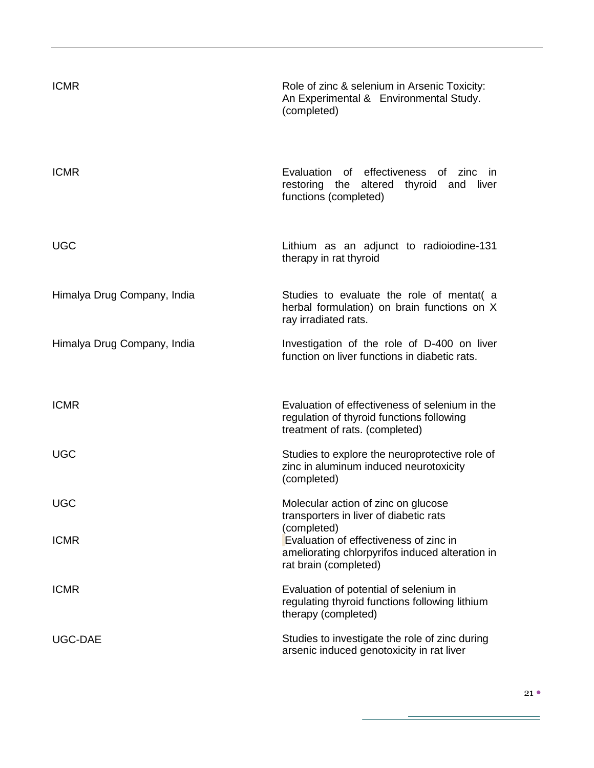| <b>ICMR</b>                 | Role of zinc & selenium in Arsenic Toxicity:<br>An Experimental & Environmental Study.<br>(completed)                             |
|-----------------------------|-----------------------------------------------------------------------------------------------------------------------------------|
| <b>ICMR</b>                 | Evaluation of effectiveness of zinc<br>- in<br>altered<br>thyroid<br>liver<br>restoring the<br>and<br>functions (completed)       |
| <b>UGC</b>                  | Lithium as an adjunct to radioiodine-131<br>therapy in rat thyroid                                                                |
| Himalya Drug Company, India | Studies to evaluate the role of mentat (a<br>herbal formulation) on brain functions on X<br>ray irradiated rats.                  |
| Himalya Drug Company, India | Investigation of the role of D-400 on liver<br>function on liver functions in diabetic rats.                                      |
| <b>ICMR</b>                 | Evaluation of effectiveness of selenium in the<br>regulation of thyroid functions following<br>treatment of rats. (completed)     |
| <b>UGC</b>                  | Studies to explore the neuroprotective role of<br>zinc in aluminum induced neurotoxicity<br>(completed)                           |
| <b>UGC</b>                  | Molecular action of zinc on glucose<br>transporters in liver of diabetic rats                                                     |
| <b>ICMR</b>                 | (completed)<br>Evaluation of effectiveness of zinc in<br>ameliorating chlorpyrifos induced alteration in<br>rat brain (completed) |
| <b>ICMR</b>                 | Evaluation of potential of selenium in<br>regulating thyroid functions following lithium<br>therapy (completed)                   |
| UGC-DAE                     | Studies to investigate the role of zinc during<br>arsenic induced genotoxicity in rat liver                                       |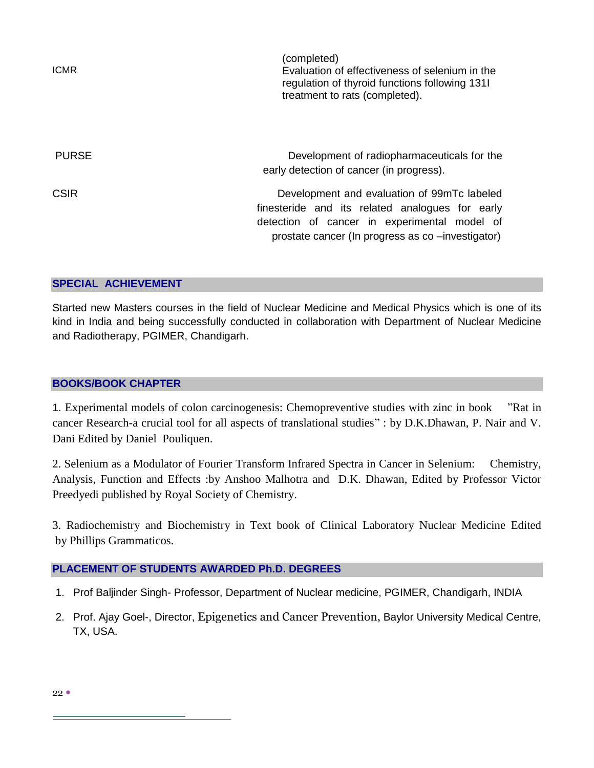| <b>ICMR</b>  | (completed)<br>Evaluation of effectiveness of selenium in the<br>regulation of thyroid functions following 1311<br>treatment to rats (completed).                                                   |
|--------------|-----------------------------------------------------------------------------------------------------------------------------------------------------------------------------------------------------|
| <b>PURSE</b> | Development of radiopharmaceuticals for the<br>early detection of cancer (in progress).                                                                                                             |
| <b>CSIR</b>  | Development and evaluation of 99mTc labeled<br>finesteride and its related analogues for early<br>detection of cancer in experimental model of<br>prostate cancer (In progress as co -investigator) |

## **SPECIAL ACHIEVEMENT**

Started new Masters courses in the field of Nuclear Medicine and Medical Physics which is one of its kind in India and being successfully conducted in collaboration with Department of Nuclear Medicine and Radiotherapy, PGIMER, Chandigarh.

## **BOOKS/BOOK CHAPTER**

1. Experimental models of colon carcinogenesis: Chemopreventive studies with zinc in book "Rat in cancer Research-a crucial tool for all aspects of translational studies" : by D.K.Dhawan, P. Nair and V. Dani Edited by Daniel Pouliquen.

2. Selenium as a Modulator of Fourier Transform Infrared Spectra in Cancer in Selenium: Chemistry, Analysis, Function and Effects :by Anshoo Malhotra and D.K. Dhawan, Edited by Professor Victor Preedyedi published by Royal Society of Chemistry.

3. Radiochemistry and Biochemistry in Text book of Clinical Laboratory Nuclear Medicine Edited by Phillips Grammaticos.

# **PLACEMENT OF STUDENTS AWARDED Ph.D. DEGREES**

- 1. Prof Baljinder Singh- Professor, Department of Nuclear medicine, PGIMER, Chandigarh, INDIA
- 2. Prof. Ajay Goel-, Director, Epigenetics and Cancer Prevention, Baylor University Medical Centre, TX, USA.

 $22$   $\bullet$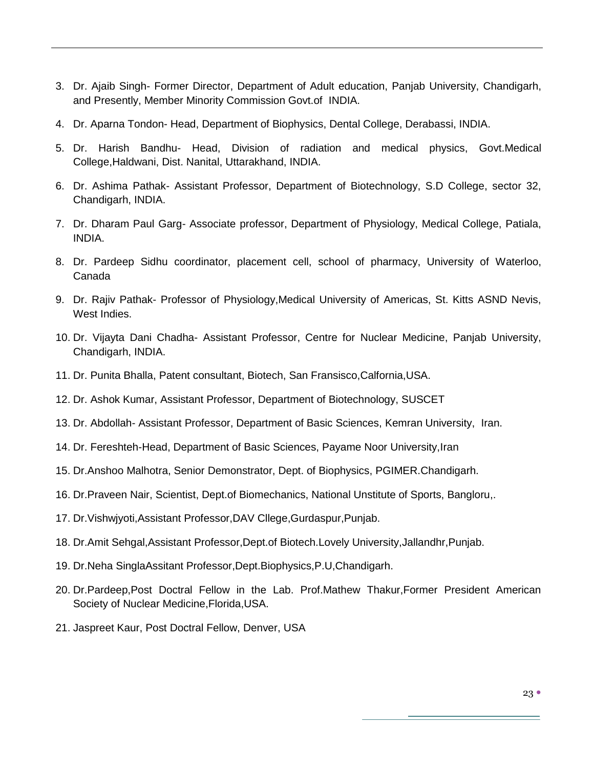- 3. Dr. Ajaib Singh- Former Director, Department of Adult education, Panjab University, Chandigarh, and Presently, Member Minority Commission Govt.of INDIA.
- 4. Dr. Aparna Tondon- Head, Department of Biophysics, Dental College, Derabassi, INDIA.
- 5. Dr. Harish Bandhu- Head, Division of radiation and medical physics, Govt.Medical College,Haldwani, Dist. Nanital, Uttarakhand, INDIA.
- 6. Dr. Ashima Pathak- Assistant Professor, Department of Biotechnology, S.D College, sector 32, Chandigarh, INDIA.
- 7. Dr. Dharam Paul Garg- Associate professor, Department of Physiology, Medical College, Patiala, INDIA.
- 8. Dr. Pardeep Sidhu coordinator, placement cell, school of pharmacy, University of Waterloo, Canada
- 9. Dr. Rajiv Pathak- Professor of Physiology,Medical University of Americas, St. Kitts ASND Nevis, West Indies.
- 10. Dr. Vijayta Dani Chadha- Assistant Professor, Centre for Nuclear Medicine, Panjab University, Chandigarh, INDIA.
- 11. Dr. Punita Bhalla, Patent consultant, Biotech, San Fransisco,Calfornia,USA.
- 12. Dr. Ashok Kumar, Assistant Professor, Department of Biotechnology, SUSCET
- 13. Dr. Abdollah- Assistant Professor, Department of Basic Sciences, Kemran University, Iran.
- 14. Dr. Fereshteh-Head, Department of Basic Sciences, Payame Noor University,Iran
- 15. Dr.Anshoo Malhotra, Senior Demonstrator, Dept. of Biophysics, PGIMER.Chandigarh.
- 16. Dr.Praveen Nair, Scientist, Dept.of Biomechanics, National Unstitute of Sports, Bangloru,.
- 17. Dr.Vishwjyoti,Assistant Professor,DAV Cllege,Gurdaspur,Punjab.
- 18. Dr.Amit Sehgal,Assistant Professor,Dept.of Biotech.Lovely University,Jallandhr,Punjab.
- 19. Dr.Neha SinglaAssitant Professor,Dept.Biophysics,P.U,Chandigarh.
- 20. Dr.Pardeep,Post Doctral Fellow in the Lab. Prof.Mathew Thakur,Former President American Society of Nuclear Medicine,Florida,USA.
- 21. Jaspreet Kaur, Post Doctral Fellow, Denver, USA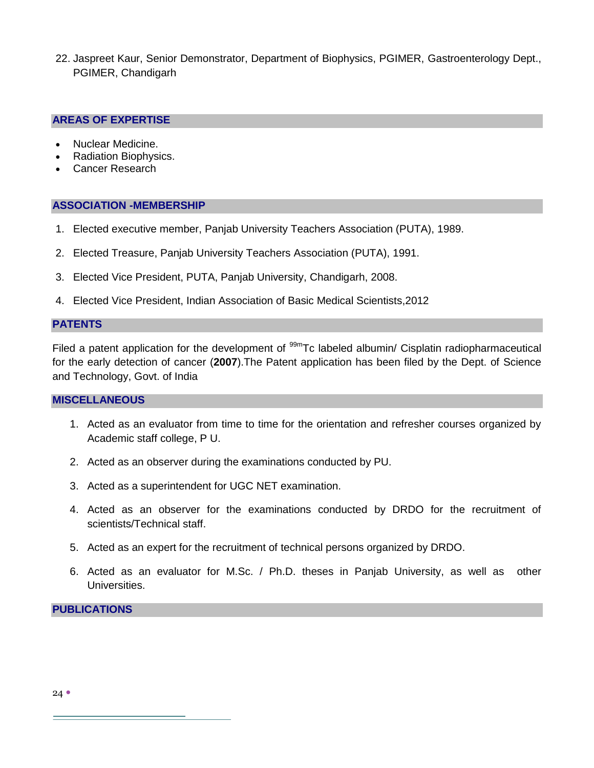22. Jaspreet Kaur, Senior Demonstrator, Department of Biophysics, PGIMER, Gastroenterology Dept., PGIMER, Chandigarh

#### **AREAS OF EXPERTISE**

- Nuclear Medicine.
- Radiation Biophysics.
- Cancer Research

#### **ASSOCIATION -MEMBERSHIP**

- 1. Elected executive member, Panjab University Teachers Association (PUTA), 1989.
- 2. Elected Treasure, Panjab University Teachers Association (PUTA), 1991.
- 3. Elected Vice President, PUTA, Panjab University, Chandigarh, 2008.
- 4. Elected Vice President, Indian Association of Basic Medical Scientists,2012

#### **PATENTS**

Filed a patent application for the development of <sup>99m</sup>Tc labeled albumin/ Cisplatin radiopharmaceutical for the early detection of cancer (**2007**).The Patent application has been filed by the Dept. of Science and Technology, Govt. of India

## **MISCELLANEOUS**

- 1. Acted as an evaluator from time to time for the orientation and refresher courses organized by Academic staff college, P U.
- 2. Acted as an observer during the examinations conducted by PU.
- 3. Acted as a superintendent for UGC NET examination.
- 4. Acted as an observer for the examinations conducted by DRDO for the recruitment of scientists/Technical staff.
- 5. Acted as an expert for the recruitment of technical persons organized by DRDO.
- 6. Acted as an evaluator for M.Sc. / Ph.D. theses in Panjab University, as well as other Universities.

#### **PUBLICATIONS**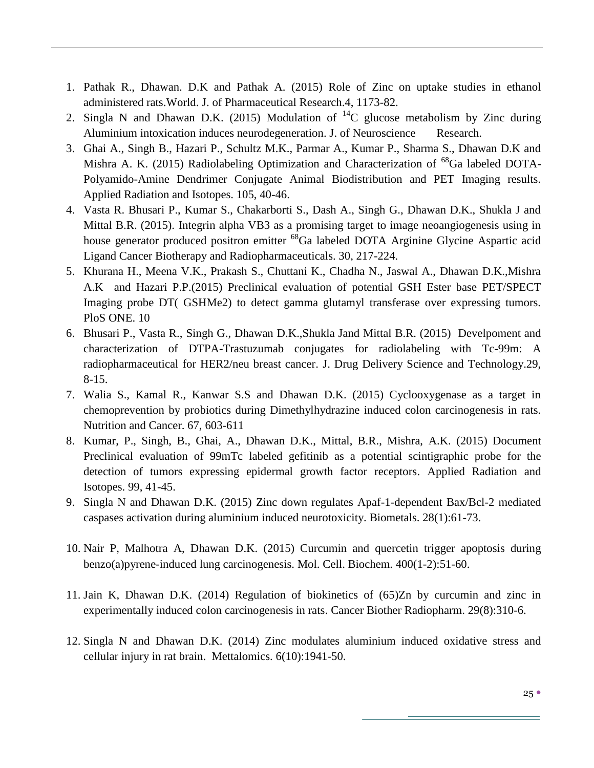- 1. Pathak R., Dhawan. D.K and Pathak A. (2015) Role of Zinc on uptake studies in ethanol administered rats.World. J. of Pharmaceutical Research.4, 1173-82.
- 2. Singla N and Dhawan D.K. (2015) Modulation of  ${}^{14}C$  glucose metabolism by Zinc during Aluminium intoxication induces neurodegeneration. J. of Neuroscience Research.
- 3. Ghai A., Singh B., Hazari P., Schultz M.K., Parmar A., Kumar P., Sharma S., Dhawan D.K and Mishra A. K. (2015) Radiolabeling Optimization and Characterization of <sup>68</sup>Ga labeled DOTA-Polyamido-Amine Dendrimer Conjugate Animal Biodistribution and PET Imaging results. Applied Radiation and Isotopes. 105, 40-46.
- 4. Vasta R. Bhusari P., Kumar S., Chakarborti S., Dash A., Singh G., Dhawan D.K., Shukla J and Mittal B.R. (2015). Integrin alpha VB3 as a promising target to image neoangiogenesis using in house generator produced positron emitter <sup>68</sup>Ga labeled DOTA Arginine Glycine Aspartic acid Ligand Cancer Biotherapy and Radiopharmaceuticals. 30, 217-224.
- 5. Khurana H., Meena V.K., Prakash S., Chuttani K., Chadha N., Jaswal A., Dhawan D.K.,Mishra A.K and Hazari P.P.(2015) Preclinical evaluation of potential GSH Ester base PET/SPECT Imaging probe DT( GSHMe2) to detect gamma glutamyl transferase over expressing tumors. PloS ONE. 10
- 6. Bhusari P., Vasta R., Singh G., Dhawan D.K.,Shukla Jand Mittal B.R. (2015) Develpoment and characterization of DTPA-Trastuzumab conjugates for radiolabeling with Tc-99m: A radiopharmaceutical for HER2/neu breast cancer. J. Drug Delivery Science and Technology.29, 8-15.
- 7. Walia S., Kamal R., Kanwar S.S and Dhawan D.K. (2015) Cyclooxygenase as a target in chemoprevention by probiotics during Dimethylhydrazine induced colon carcinogenesis in rats. Nutrition and Cancer. 67, 603-611
- 8. Kumar, P., Singh, B., Ghai, A., Dhawan D.K., Mittal, B.R., Mishra, A.K. (2015) Document [Preclinical evaluation of 99mTc labeled gefitinib as a potential scintigraphic probe for the](http://www.scopus.com/record/display.url?eid=2-s2.0-84922999498&origin=resultslist&sort=plf-f&src=s&st1=Dhawan&st2=D.+K+.&nlo=1&nlr=20&nls=count-f&sid=B4FB346D6236ECE38807E9A1A6212707.kqQeWtawXauCyC8ghhRGJg%3a1363&sot=anl&sdt=aut&sl=42&s=AU-ID%28%22Dhawan%2c+Devinder+Kumar%22+7004159807%29&relpos=0&relpos=0&citeCnt=0&searchTerm=AU-ID%28%5C%26quot%3BDhawan%2C+Devinder+Kumar%5C%26quot%3B+7004159807%29)  [detection of tumors expressing epidermal growth factor receptors.](http://www.scopus.com/record/display.url?eid=2-s2.0-84922999498&origin=resultslist&sort=plf-f&src=s&st1=Dhawan&st2=D.+K+.&nlo=1&nlr=20&nls=count-f&sid=B4FB346D6236ECE38807E9A1A6212707.kqQeWtawXauCyC8ghhRGJg%3a1363&sot=anl&sdt=aut&sl=42&s=AU-ID%28%22Dhawan%2c+Devinder+Kumar%22+7004159807%29&relpos=0&relpos=0&citeCnt=0&searchTerm=AU-ID%28%5C%26quot%3BDhawan%2C+Devinder+Kumar%5C%26quot%3B+7004159807%29) Applied Radiation and Isotopes. 99, 41-45.
- 9. Singla N and Dhawan D.K. (2015) [Zinc down regulates Apaf-1-dependent Bax/Bcl-2 mediated](http://www.ncbi.nlm.nih.gov/pubmed/25381639)  [caspases activation during aluminium induced neurotoxicity.](http://www.ncbi.nlm.nih.gov/pubmed/25381639) Biometals. 28(1):61-73.
- 10. Nair P, Malhotra A, Dhawan D.K. (2015) [Curcumin and quercetin trigger apoptosis during](http://www.ncbi.nlm.nih.gov/pubmed/25359171)  [benzo\(a\)pyrene-induced lung carcinogenesis.](http://www.ncbi.nlm.nih.gov/pubmed/25359171) Mol. Cell. Biochem. 400(1-2):51-60.
- 11. Jain K, Dhawan D.K. (2014) Regulation of biokinetics of (65)Zn by curcumin and zinc in experimentally induced colon carcinogenesis in rats. Cancer Biother Radiopharm. 29(8):310-6.
- 12. Singla N and Dhawan D.K. (2014) Zinc modulates aluminium induced oxidative stress and cellular injury in rat brain. Mettalomics. 6(10):1941-50.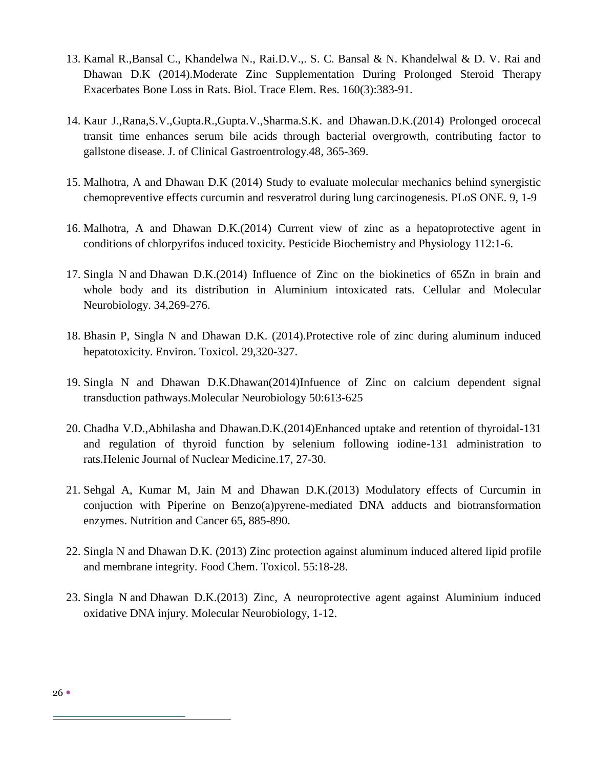- 13. Kamal R.,Bansal C., Khandelwa N., Rai.D.V.,. S. C. Bansal & N. Khandelwal & D. V. Rai and Dhawan D.K (2014).Moderate Zinc Supplementation During Prolonged Steroid Therapy Exacerbates Bone Loss in Rats. Biol. Trace Elem. Res. 160(3):383-91.
- 14. Kaur J.,Rana,S.V.,Gupta.R.,Gupta.V.,Sharma.S.K. and Dhawan.D.K.(2014) Prolonged orocecal transit time enhances serum bile acids through bacterial overgrowth, contributing factor to gallstone disease. J. of Clinical Gastroentrology.48, 365-369.
- 15. Malhotra, A and Dhawan D.K (2014) Study to evaluate molecular mechanics behind synergistic chemopreventive effects curcumin and resveratrol during lung carcinogenesis. PLoS ONE. 9, 1-9
- 16. Malhotra, A and Dhawan D.K.(2014) Current view of zinc as a hepatoprotective agent in conditions of chlorpyrifos induced toxicity. Pesticide Biochemistry and Physiology 112:1-6.
- 17. Singla N and Dhawan D.K.(2014) Influence of Zinc on the biokinetics of 65Zn in brain and whole body and its distribution in Aluminium intoxicated rats. Cellular and Molecular Neurobiology. 34,269-276.
- 18. Bhasin P, Singla N and Dhawan D.K. (2014).Protective role of zinc during aluminum induced hepatotoxicity. Environ. Toxicol. 29,320-327.
- 19. Singla N and Dhawan D.K.Dhawan(2014)Infuence of Zinc on calcium dependent signal transduction pathways.Molecular Neurobiology 50:613-625
- 20. Chadha V.D.,Abhilasha and Dhawan.D.K.(2014)Enhanced uptake and retention of thyroidal-131 and regulation of thyroid function by selenium following iodine-131 administration to rats.Helenic Journal of Nuclear Medicine.17, 27-30.
- 21. Sehgal A, Kumar M, Jain M and Dhawan D.K.(2013) Modulatory effects of Curcumin in conjuction with Piperine on Benzo(a)pyrene-mediated DNA adducts and biotransformation enzymes. Nutrition and Cancer 65, 885-890.
- 22. Singla N and Dhawan D.K. (2013) Zinc protection against aluminum induced altered lipid profile and membrane integrity. Food Chem. Toxicol. 55:18-28.
- 23. Singla N and Dhawan D.K.(2013) Zinc, A neuroprotective agent against Aluminium induced oxidative DNA injury. Molecular Neurobiology, 1-12.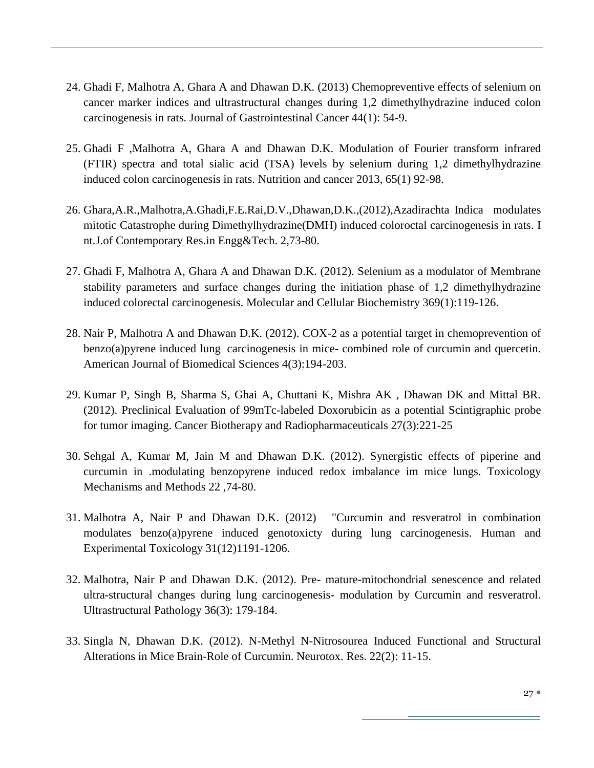- 24. Ghadi F, Malhotra A, Ghara A and Dhawan D.K. (2013) Chemopreventive effects of selenium on cancer marker indices and ultrastructural changes during 1,2 dimethylhydrazine induced colon carcinogenesis in rats. Journal of Gastrointestinal Cancer 44(1): 54-9.
- 25. Ghadi F ,Malhotra A, Ghara A and Dhawan D.K. Modulation of Fourier transform infrared (FTIR) spectra and total sialic acid (TSA) levels by selenium during 1,2 dimethylhydrazine induced colon carcinogenesis in rats. Nutrition and cancer 2013, 65(1) 92-98.
- 26. Ghara,A.R.,Malhotra,A.Ghadi,F.E.Rai,D.V.,Dhawan,D.K.,(2012),Azadirachta Indica modulates mitotic Catastrophe during Dimethylhydrazine(DMH) induced coloroctal carcinogenesis in rats. I nt.J.of Contemporary Res.in Engg&Tech. 2,73-80.
- 27. Ghadi F, Malhotra A, Ghara A and Dhawan D.K. (2012). Selenium as a modulator of Membrane stability parameters and surface changes during the initiation phase of 1,2 dimethylhydrazine induced colorectal carcinogenesis. Molecular and Cellular Biochemistry 369(1):119-126.
- 28. Nair P, Malhotra A and Dhawan D.K. (2012). COX-2 as a potential target in chemoprevention of benzo(a)pyrene induced lung carcinogenesis in mice- combined role of curcumin and quercetin. American Journal of Biomedical Sciences 4(3):194-203.
- 29. Kumar P, Singh B, Sharma S, Ghai A, Chuttani K, Mishra AK , Dhawan DK and Mittal BR. (2012). Preclinical Evaluation of 99mTc-labeled Doxorubicin as a potential Scintigraphic probe for tumor imaging. Cancer Biotherapy and Radiopharmaceuticals 27(3):221-25
- 30. Sehgal A, Kumar M, Jain M and Dhawan D.K. (2012). Synergistic effects of piperine and curcumin in .modulating benzopyrene induced redox imbalance im mice lungs. Toxicology Mechanisms and Methods 22 ,74-80.
- 31. Malhotra A, Nair P and Dhawan D.K. (2012) "Curcumin and resveratrol in combination modulates benzo(a)pyrene induced genotoxicty during lung carcinogenesis. Human and Experimental Toxicology 31(12)1191-1206.
- 32. Malhotra, Nair P and Dhawan D.K. (2012). Pre- mature-mitochondrial senescence and related ultra-structural changes during lung carcinogenesis- modulation by Curcumin and resveratrol. Ultrastructural Pathology 36(3): 179-184.
- 33. Singla N, Dhawan D.K. (2012). N-Methyl N-Nitrosourea Induced Functional and Structural Alterations in Mice Brain-Role of Curcumin. Neurotox. Res. 22(2): 11-15.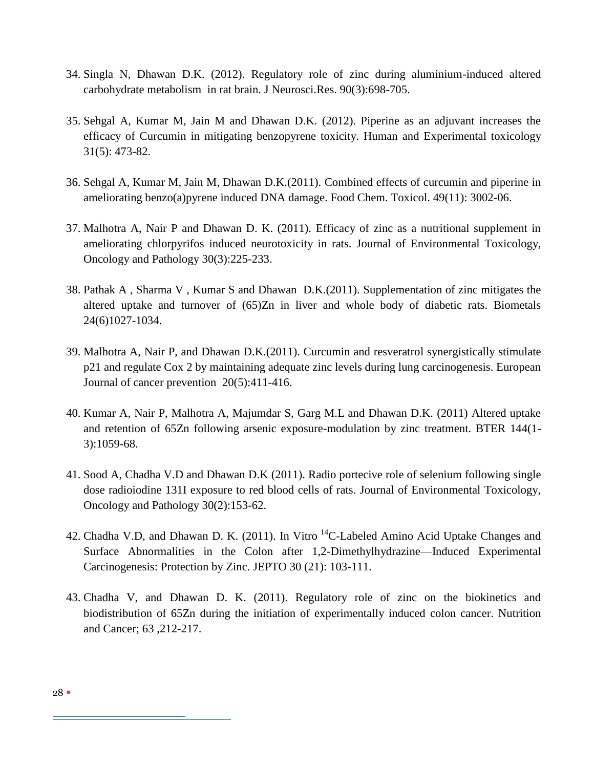- 34. Singla N, Dhawan D.K. (2012). Regulatory role of zinc during aluminium-induced altered carbohydrate metabolism in rat brain. J Neurosci.Res. 90(3):698-705.
- 35. Sehgal A, Kumar M, Jain M and Dhawan D.K. (2012). Piperine as an adjuvant increases the efficacy of Curcumin in mitigating benzopyrene toxicity. Human and Experimental toxicology 31(5): 473-82.
- 36. [Sehgal A,](http://www.ncbi.nlm.nih.gov/pubmed?term=%22Sehgal%20A%22%5BAuthor%5D) [Kumar M,](http://www.ncbi.nlm.nih.gov/pubmed?term=%22Kumar%20M%22%5BAuthor%5D) [Jain M,](http://www.ncbi.nlm.nih.gov/pubmed?term=%22Jain%20M%22%5BAuthor%5D) [Dhawan D.K.](http://www.ncbi.nlm.nih.gov/pubmed?term=%22Dhawan%20DK%22%5BAuthor%5D)(2011). Combined effects of curcumin and piperine in ameliorating benzo(a)pyrene induced DNA damage. [Food Chem. Toxicol.](http://www.ncbi.nlm.nih.gov/pubmed/21827816?dopt=Abstractplus) 49(11): 3002-06.
- 37. Malhotra A, Nair P and Dhawan D. K. (2011). Efficacy of zinc as a nutritional supplement in ameliorating chlorpyrifos induced neurotoxicity in rats. Journal of Environmental Toxicology, Oncology and Pathology 30(3):225-233.
- 38. Pathak A , Sharma V , Kumar S and Dhawan D.K.(2011). Supplementation of zinc mitigates the altered uptake and turnover of (65)Zn in liver and whole body of diabetic rats. Biometals 24(6)1027-1034.
- 39. Malhotra A, Nair P, and Dhawan D.K.(2011). Curcumin and resveratrol synergistically stimulate p21 and regulate Cox 2 by maintaining adequate zinc levels during lung carcinogenesis. European Journal of cancer prevention [20\(5\):411-416.](http://pubget.com/search?q=issn%3A0959-8278+vol%3A20+issue%3A5&from=21633290)
- 40. Kumar A, Nair P, Malhotra A, Majumdar S, Garg M.L and Dhawan D.K. (2011) Altered uptake and retention of 65Zn following arsenic exposure-modulation by zinc treatment. BTER 144(1- 3):1059-68.
- 41. Sood A, Chadha V.D and Dhawan D.K (2011). Radio portecive role of selenium following single dose radioiodine 131I exposure to red blood cells of rats. Journal of Environmental Toxicology, Oncology and Pathology 30(2):153-62.
- 42. Chadha V.D, and Dhawan D. K. (2011). In Vitro <sup>14</sup>C-Labeled Amino Acid Uptake Changes and Surface Abnormalities in the Colon after 1,2-Dimethylhydrazine—Induced Experimental Carcinogenesis: Protection by Zinc. JEPTO 30 (21): 103-111.
- 43. Chadha V, and Dhawan D. K. (2011). Regulatory role of zinc on the biokinetics and biodistribution of 65Zn during the initiation of experimentally induced colon cancer. Nutrition and Cancer; 63 ,212-217.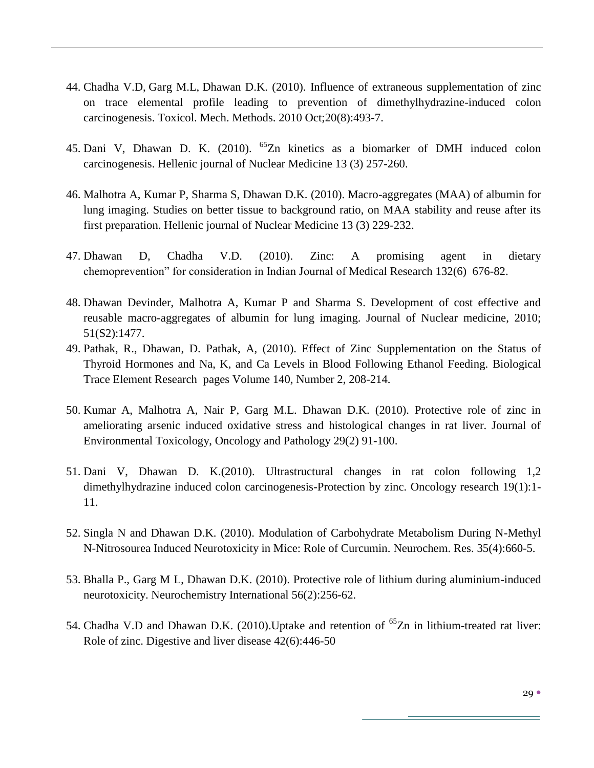- 44. [Chadha V.D,](http://www.ncbi.nlm.nih.gov/pubmed?term=%22Chadha%20VD%22%5BAuthor%5D) [Garg M.L,](http://www.ncbi.nlm.nih.gov/pubmed?term=%22Garg%20ML%22%5BAuthor%5D) [Dhawan D.](http://www.ncbi.nlm.nih.gov/pubmed?term=%22Dhawan%20D%22%5BAuthor%5D)K. (2010). Influence of extraneous supplementation of zinc on trace elemental profile leading to prevention of dimethylhydrazine-induced colon carcinogenesis. [Toxicol. Mech. Methods.](http://www.ncbi.nlm.nih.gov/pubmed/20843267) 2010 Oct;20(8):493-7.
- 45. Dani V, Dhawan D. K. (2010). <sup>65</sup>Zn kinetics as a biomarker of DMH induced colon carcinogenesis. Hellenic journal of Nuclear Medicine 13 (3) 257-260.
- 46. Malhotra A, Kumar P, Sharma S, Dhawan D.K. (2010). Macro-aggregates (MAA) of albumin for lung imaging. Studies on better tissue to background ratio, on MAA stability and reuse after its first preparation. Hellenic journal of Nuclear Medicine 13 (3) 229-232.
- 47. Dhawan D, Chadha V.D. (2010). Zinc: A promising agent in dietary chemoprevention" for consideration in Indian Journal of Medical Research 132(6) 676-82.
- 48. Dhawan Devinder, Malhotra A, Kumar P and Sharma S. Development of cost effective and reusable macro-aggregates of albumin for lung imaging. Journal of Nuclear medicine, 2010; 51(S2):1477.
- 49. Pathak, R., [Dhawan, D.](http://www.scopus.com/search/submit/author.url?author=Dhawan%2c+D.&authorId=34568986200&origin=recordpage) [Pathak, A,](http://www.scopus.com/search/submit/author.url?author=Pathak%2c+A.&authorId=7103002144&origin=recordpage) (2010). Effect of Zinc Supplementation on the Status of Thyroid Hormones and Na, K, and Ca Levels in Blood Following Ethanol Feeding. [Biological](http://www.scopus.com/source/sourceInfo.url?sourceId=16901&origin=recordpage)  [Trace Element Research](http://www.scopus.com/source/sourceInfo.url?sourceId=16901&origin=recordpage) pages [Volume 140, Number 2,](http://www.springerlink.com/content/0163-4984/140/2/) 208-214.
- 50. Kumar A, Malhotra A, Nair P, Garg M.L. Dhawan D.K. (2010). Protective role of zinc in ameliorating arsenic induced oxidative stress and histological changes in rat liver. Journal of Environmental Toxicology, Oncology and Pathology 29(2) 91-100.
- 51. Dani V, Dhawan D. K.(2010). Ultrastructural changes in rat colon following 1,2 dimethylhydrazine induced colon carcinogenesis-Protection by zinc. Oncology research 19(1):1- 11.
- 52. Singla N and Dhawan D.K. (2010). Modulation of Carbohydrate Metabolism During N-Methyl N-Nitrosourea Induced Neurotoxicity in Mice: Role of Curcumin. [Neurochem. Res.](javascript:AL_get(this,%20) 35(4):660-5.
- 53. Bhalla P., Garg M L, Dhawan D.K. (2010). Protective role of lithium during aluminium-induced neurotoxicity. Neurochemistry International 56(2):256-62.
- 54. Chadha V.D and Dhawan D.K. (2010). Uptake and retention of <sup>65</sup>Zn in lithium-treated rat liver: Role of zinc. Digestive and liver disease 42(6):446-50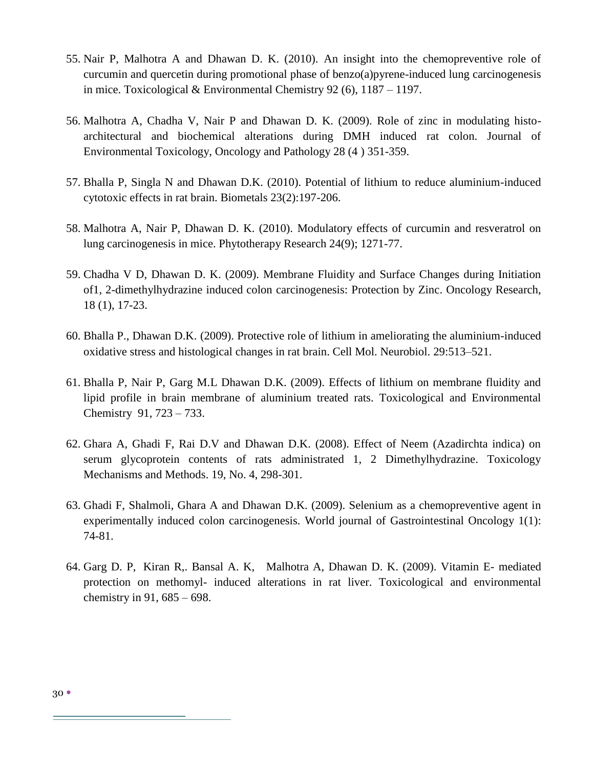- 55. Nair P, Malhotra A and Dhawan D. K. (2010). An insight into the chemopreventive role of curcumin and quercetin during promotional phase of benzo(a)pyrene-induced lung carcinogenesis in mice. Toxicological & Environmental Chemistry 92 (6), 1187 – 1197.
- 56. Malhotra A, Chadha V, Nair P and Dhawan D. K. (2009). Role of zinc in modulating histoarchitectural and biochemical alterations during DMH induced rat colon. Journal of Environmental Toxicology, Oncology and Pathology 28 (4 ) 351-359.
- 57. Bhalla P, Singla N and Dhawan D.K. (2010). Potential of lithium to reduce aluminium-induced cytotoxic effects in rat brain. Biometals 23(2):197-206.
- 58. Malhotra A, Nair P, Dhawan D. K. (2010). Modulatory effects of curcumin and resveratrol on lung carcinogenesis in mice. Phytotherapy Research 24(9); 1271-77.
- 59. Chadha V D, Dhawan D. K. (2009). Membrane Fluidity and Surface Changes during Initiation of1, 2-dimethylhydrazine induced colon carcinogenesis: Protection by Zinc. Oncology Research, 18 (1), 17-23.
- 60. Bhalla P., Dhawan D.K. (2009). Protective role of lithium in ameliorating the aluminium-induced oxidative stress and histological changes in rat brain. Cell Mol. Neurobiol. 29:513–521.
- 61. Bhalla P, Nair P, Garg M.L Dhawan D.K. (2009). Effects of lithium on membrane fluidity and lipid profile in brain membrane of aluminium treated rats. Toxicological and Environmental Chemistry [91,](http://www.informaworld.com/smpp/title~db=all~content=t713653210~tab=issueslist~branches=91#v91) 723 – 733.
- 62. Ghara A, Ghadi F, Rai D.V and Dhawan D.K. (2008). Effect of Neem (Azadirchta indica) on serum glycoprotein contents of rats administrated 1, 2 Dimethylhydrazine. Toxicology Mechanisms and Methods. 19, No. 4, 298-301.
- 63. Ghadi F, Shalmoli, Ghara A and Dhawan D.K. (2009). Selenium as a chemopreventive agent in experimentally induced colon carcinogenesis. World journal of Gastrointestinal Oncology 1(1): 74-81.
- 64. Garg D. P, Kiran R,. Bansal A. K, Malhotra A, Dhawan D. K. (2009). Vitamin E- mediated protection on methomyl- induced alterations in rat liver. Toxicological and environmental chemistry in [91,](http://www.informaworld.com/smpp/title~db=all~content=t713653210~tab=issueslist~branches=91#v91) 685 – 698.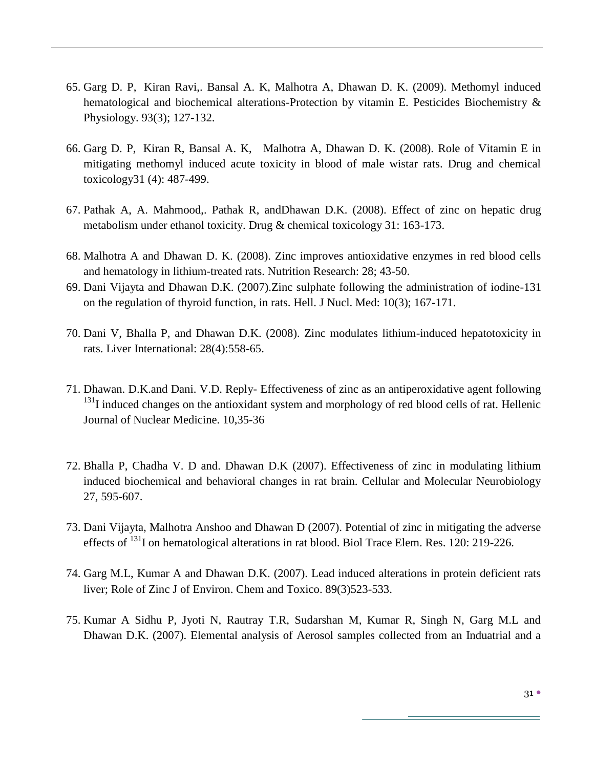- 65. Garg D. P, Kiran Ravi,. Bansal A. K, Malhotra A, Dhawan D. K. (2009). Methomyl induced hematological and biochemical alterations-Protection by vitamin E. Pesticides Biochemistry & Physiology. [93\(3\)](http://www.sciencedirect.com/science?_ob=PublicationURL&_tockey=%23TOC%236984%232009%23999069996%23993069%23FLA%23&_cdi=6984&_pubType=J&view=c&_auth=y&_acct=C000056442&_version=1&_urlVersion=0&_userid=2154404&md5=455853cf852ce21a79beeb6a88f1eff4); 127-132.
- 66. Garg D. P, Kiran R, Bansal A. K, Malhotra A, Dhawan D. K. (2008). Role of Vitamin E in mitigating methomyl induced acute toxicity in blood of male wistar rats. Drug and chemical toxicology31 (4): 487-499.
- 67. Pathak A, A. Mahmood,. Pathak R, andDhawan D.K. (2008). Effect of zinc on hepatic drug metabolism under ethanol toxicity. Drug & chemical toxicology 31: 163-173.
- 68. Malhotra A and Dhawan D. K. (2008). Zinc improves antioxidative enzymes in red blood cells and hematology in lithium-treated rats. Nutrition Research: 28; 43-50.
- 69. Dani Vijayta and Dhawan D.K. (2007).Zinc sulphate following the administration of iodine-131 on the regulation of thyroid function, in rats. Hell. J Nucl. Med: 10(3); 167-171.
- 70. Dani V, Bhalla P, and Dhawan D.K. (2008). Zinc modulates lithium-induced hepatotoxicity in rats. Liver International: 28(4):558-65.
- 71. Dhawan. D.K.and Dani. V.D. Reply- Effectiveness of zinc as an antiperoxidative agent following  $131$ I induced changes on the antioxidant system and morphology of red blood cells of rat. Hellenic Journal of Nuclear Medicine. 10,35-36
- 72. Bhalla P, Chadha V. D and. Dhawan D.K (2007). Effectiveness of zinc in modulating lithium induced biochemical and behavioral changes in rat brain. Cellular and Molecular Neurobiology 27, 595-607.
- 73. Dani Vijayta, Malhotra Anshoo and Dhawan D (2007). Potential of zinc in mitigating the adverse effects of <sup>131</sup>I on hematological alterations in rat blood. Biol Trace Elem. Res. 120: 219-226.
- 74. Garg M.L, Kumar A and Dhawan D.K. (2007). Lead induced alterations in protein deficient rats liver; Role of Zinc J of Environ. Chem and Toxico. 89(3)523-533.
- 75. Kumar A Sidhu P, Jyoti N, Rautray T.R, Sudarshan M, Kumar R, Singh N, Garg M.L and Dhawan D.K. (2007). Elemental analysis of Aerosol samples collected from an Induatrial and a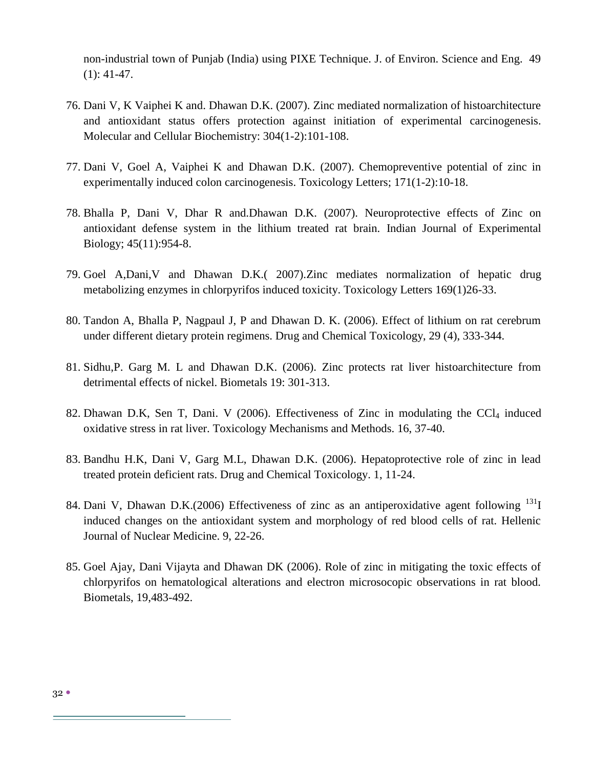non-industrial town of Punjab (India) using PIXE Technique. J. of Environ. Science and Eng. 49 (1): 41-47.

- 76. Dani V, K Vaiphei K and. Dhawan D.K. (2007). Zinc mediated normalization of histoarchitecture and antioxidant status offers protection against initiation of experimental carcinogenesis. Molecular and Cellular Biochemistry: 304(1-2):101-108.
- 77. Dani V, Goel A, Vaiphei K and Dhawan D.K. (2007). Chemopreventive potential of zinc in experimentally induced colon carcinogenesis. Toxicology Letters; 171(1-2):10-18.
- 78. Bhalla P, Dani V, Dhar R and.Dhawan D.K. (2007). Neuroprotective effects of Zinc on antioxidant defense system in the lithium treated rat brain. Indian Journal of Experimental Biology; 45(11):954-8.
- 79. Goel A,Dani,V and Dhawan D.K.( 2007).Zinc mediates normalization of hepatic drug metabolizing enzymes in chlorpyrifos induced toxicity. Toxicology Letters 169(1)26-33.
- 80. Tandon A, Bhalla P, Nagpaul J, P and Dhawan D. K. (2006). Effect of lithium on rat cerebrum under different dietary protein regimens. Drug and Chemical Toxicology, 29 (4), 333-344.
- 81. Sidhu,P. Garg M. L and Dhawan D.K. (2006). Zinc protects rat liver histoarchitecture from detrimental effects of nickel. Biometals 19: 301-313.
- 82. Dhawan D.K, Sen T, Dani. V (2006). Effectiveness of Zinc in modulating the  $\text{Cl}_4$  induced oxidative stress in rat liver. Toxicology Mechanisms and Methods. 16, 37-40.
- 83. Bandhu H.K, Dani V, Garg M.L, Dhawan D.K. (2006). Hepatoprotective role of zinc in lead treated protein deficient rats. Drug and Chemical Toxicology. 1, 11-24.
- 84. Dani V, Dhawan D.K.(2006) Effectiveness of zinc as an antiperoxidative agent following  $^{131}$ I induced changes on the antioxidant system and morphology of red blood cells of rat. Hellenic Journal of Nuclear Medicine. 9, 22-26.
- 85. Goel Ajay, Dani Vijayta and Dhawan DK (2006). Role of zinc in mitigating the toxic effects of chlorpyrifos on hematological alterations and electron microsocopic observations in rat blood. Biometals, 19,483-492.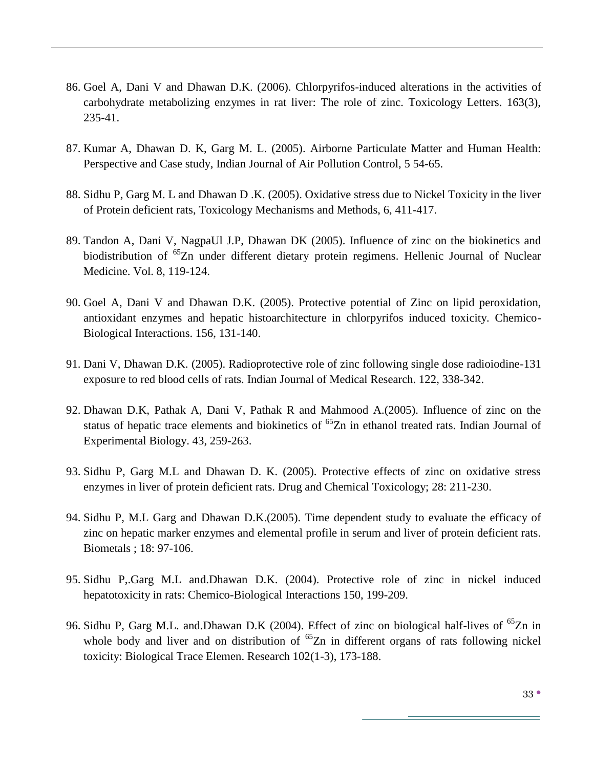- 86. Goel A, Dani V and Dhawan D.K. (2006). Chlorpyrifos-induced alterations in the activities of carbohydrate metabolizing enzymes in rat liver: The role of zinc. Toxicology Letters. 163(3), 235-41.
- 87. Kumar A, Dhawan D. K, Garg M. L. (2005). Airborne Particulate Matter and Human Health: Perspective and Case study, Indian Journal of Air Pollution Control, 5 54-65.
- 88. Sidhu P, Garg M. L and Dhawan D .K. (2005). Oxidative stress due to Nickel Toxicity in the liver of Protein deficient rats, Toxicology Mechanisms and Methods, 6, 411-417.
- 89. Tandon A, Dani V, NagpaUl J.P, Dhawan DK (2005). Influence of zinc on the biokinetics and biodistribution of <sup>65</sup>Zn under different dietary protein regimens. Hellenic Journal of Nuclear Medicine. Vol. 8, 119-124.
- 90. Goel A, Dani V and Dhawan D.K. (2005). Protective potential of Zinc on lipid peroxidation, antioxidant enzymes and hepatic histoarchitecture in chlorpyrifos induced toxicity. Chemico-Biological Interactions. 156, 131-140.
- 91. Dani V, Dhawan D.K. (2005). Radioprotective role of zinc following single dose radioiodine-131 exposure to red blood cells of rats. Indian Journal of Medical Research. 122, 338-342.
- 92. Dhawan D.K, Pathak A, Dani V, Pathak R and Mahmood A.(2005). Influence of zinc on the status of hepatic trace elements and biokinetics of <sup>65</sup>Zn in ethanol treated rats. Indian Journal of Experimental Biology. 43, 259-263.
- 93. Sidhu P, Garg M.L and Dhawan D. K. (2005). Protective effects of zinc on oxidative stress enzymes in liver of protein deficient rats. Drug and Chemical Toxicology; 28: 211-230.
- 94. Sidhu P, M.L Garg and Dhawan D.K.(2005). Time dependent study to evaluate the efficacy of zinc on hepatic marker enzymes and elemental profile in serum and liver of protein deficient rats. Biometals ; 18: 97-106.
- 95. Sidhu P,.Garg M.L and.Dhawan D.K. (2004). Protective role of zinc in nickel induced hepatotoxicity in rats: Chemico-Biological Interactions 150, 199-209.
- 96. Sidhu P, Garg M.L. and Dhawan D.K (2004). Effect of zinc on biological half-lives of <sup>65</sup>Zn in whole body and liver and on distribution of  ${}^{65}Zn$  in different organs of rats following nickel toxicity: Biological Trace Elemen. Research 102(1-3), 173-188.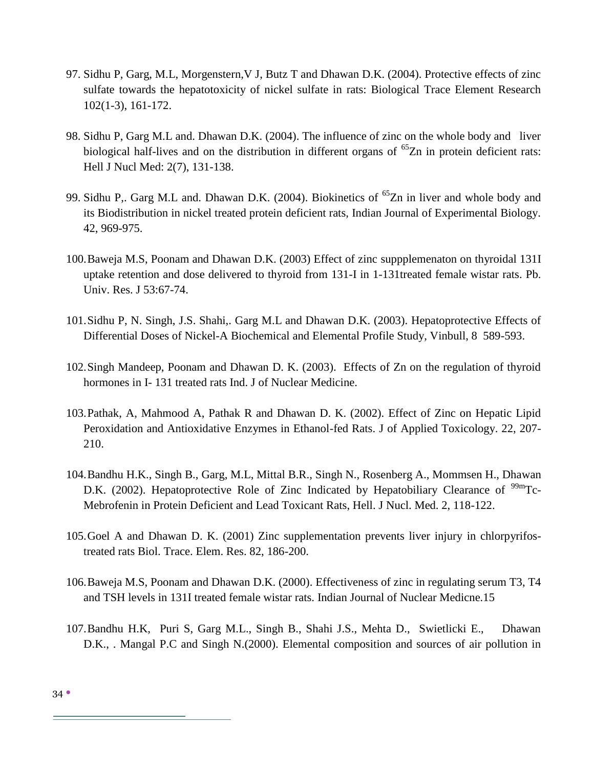- 97. Sidhu P, Garg, M.L, Morgenstern,V J, Butz T and Dhawan D.K. (2004). Protective effects of zinc sulfate towards the hepatotoxicity of nickel sulfate in rats: Biological Trace Element Research 102(1-3), 161-172.
- 98. Sidhu P, Garg M.L and. Dhawan D.K. (2004). The influence of zinc on the whole body and liver biological half-lives and on the distribution in different organs of  ${}^{65}Zn$  in protein deficient rats: Hell J Nucl Med: 2(7), 131-138.
- 99. Sidhu P,. Garg M.L and. Dhawan D.K. (2004). Biokinetics of <sup>65</sup>Zn in liver and whole body and its Biodistribution in nickel treated protein deficient rats, Indian Journal of Experimental Biology. 42, 969-975.
- 100.Baweja M.S, Poonam and Dhawan D.K. (2003) Effect of zinc suppplemenaton on thyroidal 131I uptake retention and dose delivered to thyroid from 131-I in 1-131treated female wistar rats. Pb. Univ. Res. J 53:67-74.
- 101.Sidhu P, N. Singh, J.S. Shahi,. Garg M.L and Dhawan D.K. (2003). Hepatoprotective Effects of Differential Doses of Nickel-A Biochemical and Elemental Profile Study, Vinbull, 8 589-593.
- 102.Singh Mandeep, Poonam and Dhawan D. K. (2003). Effects of Zn on the regulation of thyroid hormones in I- 131 treated rats Ind. J of Nuclear Medicine.
- 103.Pathak, A, Mahmood A, Pathak R and Dhawan D. K. (2002). Effect of Zinc on Hepatic Lipid Peroxidation and Antioxidative Enzymes in Ethanol-fed Rats. J of Applied Toxicology. 22, 207- 210.
- 104.Bandhu H.K., Singh B., Garg, M.L, Mittal B.R., Singh N., Rosenberg A., Mommsen H., Dhawan D.K. (2002). Hepatoprotective Role of Zinc Indicated by Hepatobiliary Clearance of  $\rm{^{99m}Tc}$ -Mebrofenin in Protein Deficient and Lead Toxicant Rats, Hell. J Nucl. Med. 2, 118-122.
- 105.Goel A and Dhawan D. K. (2001) Zinc supplementation prevents liver injury in chlorpyrifostreated rats Biol. Trace. Elem. Res. 82, 186-200.
- 106.Baweja M.S, Poonam and Dhawan D.K. (2000). Effectiveness of zinc in regulating serum T3, T4 and TSH levels in 131I treated female wistar rats. Indian Journal of Nuclear Medicne.15
- 107.Bandhu H.K, Puri S, Garg M.L., Singh B., Shahi J.S., Mehta D., Swietlicki E., Dhawan D.K., . Mangal P.C and Singh N.(2000). Elemental composition and sources of air pollution in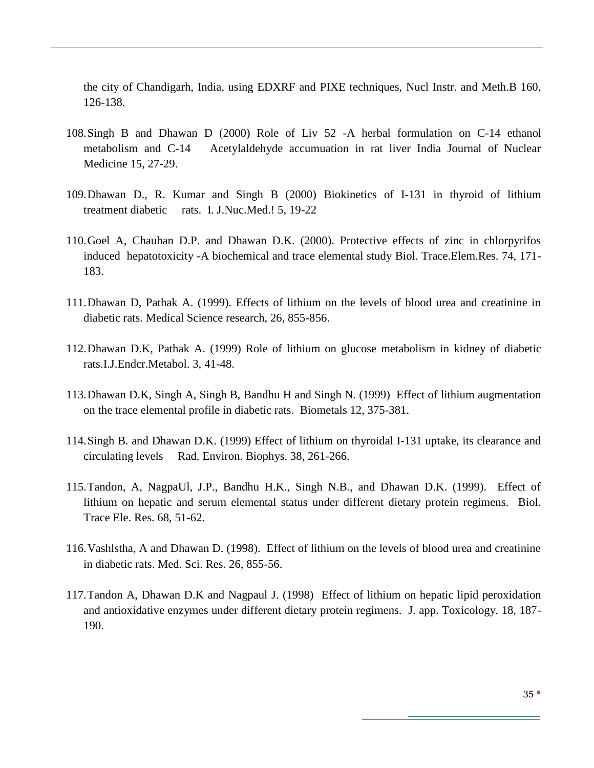the city of Chandigarh, India, using EDXRF and PIXE techniques, Nucl Instr. and Meth.B 160, 126-138.

- 108.Singh B and Dhawan D (2000) Role of Liv 52 -A herbal formulation on C-14 ethanol metabolism and C-14 Acetylaldehyde accumuation in rat liver India Journal of Nuclear Medicine 15, 27-29.
- 109.Dhawan D., R. Kumar and Singh B (2000) Biokinetics of I-131 in thyroid of lithium treatment diabetic rats. I. J.Nuc.Med.! 5, 19-22
- 110.Goel A, Chauhan D.P. and Dhawan D.K. (2000). Protective effects of zinc in chlorpyrifos induced hepatotoxicity -A biochemical and trace elemental study Biol. Trace.Elem.Res. 74, 171- 183.
- 111.Dhawan D, Pathak A. (1999). Effects of lithium on the levels of blood urea and creatinine in diabetic rats. Medical Science research, 26, 855-856.
- 112.Dhawan D.K, Pathak A. (1999) Role of lithium on glucose metabolism in kidney of diabetic rats.I.J.Endcr.Metabol. 3, 41-48.
- 113.Dhawan D.K, Singh A, Singh B, Bandhu H and Singh N. (1999) Effect of lithium augmentation on the trace elemental profile in diabetic rats. Biometals 12, 375-381.
- 114.Singh B. and Dhawan D.K. (1999) Effect of lithium on thyroidal I-131 uptake, its clearance and circulating levels Rad. Environ. Biophys. 38, 261-266.
- 115.Tandon, A, NagpaUl, J.P., Bandhu H.K., Singh N.B., and Dhawan D.K. (1999). Effect of lithium on hepatic and serum elemental status under different dietary protein regimens. Biol. Trace Ele. Res. 68, 51-62.
- 116.Vashlstha, A and Dhawan D. (1998). Effect of lithium on the levels of blood urea and creatinine in diabetic rats. Med. Sci. Res. 26, 855-56.
- 117.Tandon A, Dhawan D.K and Nagpaul J. (1998) Effect of lithium on hepatic lipid peroxidation and antioxidative enzymes under different dietary protein regimens. J. app. Toxicology. 18, 187- 190.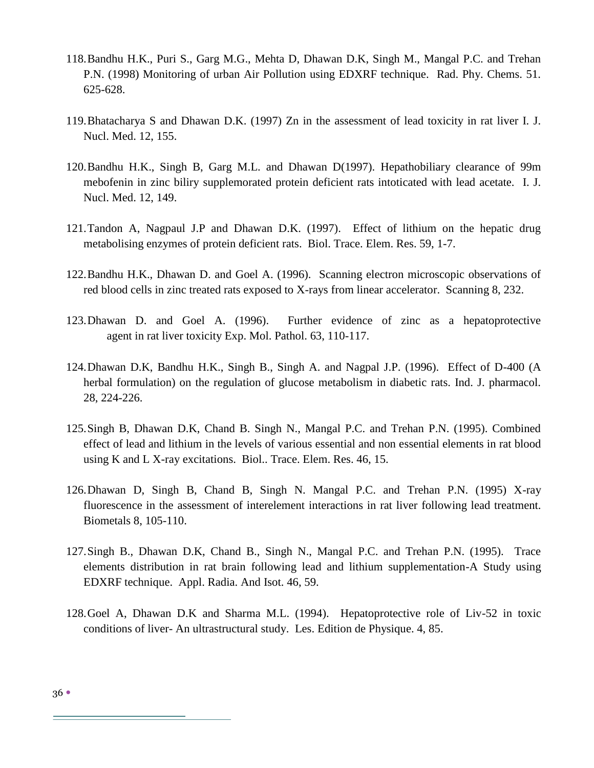- 118.Bandhu H.K., Puri S., Garg M.G., Mehta D, Dhawan D.K, Singh M., Mangal P.C. and Trehan P.N. (1998) Monitoring of urban Air Pollution using EDXRF technique. Rad. Phy. Chems. 51. 625-628.
- 119.Bhatacharya S and Dhawan D.K. (1997) Zn in the assessment of lead toxicity in rat liver I. J. Nucl. Med. 12, 155.
- 120.Bandhu H.K., Singh B, Garg M.L. and Dhawan D(1997). Hepathobiliary clearance of 99m mebofenin in zinc biliry supplemorated protein deficient rats intoticated with lead acetate. I. J. Nucl. Med. 12, 149.
- 121.Tandon A, Nagpaul J.P and Dhawan D.K. (1997). Effect of lithium on the hepatic drug metabolising enzymes of protein deficient rats. Biol. Trace. Elem. Res. 59, 1-7.
- 122.Bandhu H.K., Dhawan D. and Goel A. (1996). Scanning electron microscopic observations of red blood cells in zinc treated rats exposed to X-rays from linear accelerator. Scanning 8, 232.
- 123.Dhawan D. and Goel A. (1996). Further evidence of zinc as a hepatoprotective agent in rat liver toxicity Exp. Mol. Pathol. 63, 110-117.
- 124.Dhawan D.K, Bandhu H.K., Singh B., Singh A. and Nagpal J.P. (1996). Effect of D-400 (A herbal formulation) on the regulation of glucose metabolism in diabetic rats. Ind. J. pharmacol. 28, 224-226.
- 125.Singh B, Dhawan D.K, Chand B. Singh N., Mangal P.C. and Trehan P.N. (1995). Combined effect of lead and lithium in the levels of various essential and non essential elements in rat blood using K and L X-ray excitations. Biol.. Trace. Elem. Res. 46, 15.
- 126.Dhawan D, Singh B, Chand B, Singh N. Mangal P.C. and Trehan P.N. (1995) X-ray fluorescence in the assessment of interelement interactions in rat liver following lead treatment. Biometals 8, 105-110.
- 127.Singh B., Dhawan D.K, Chand B., Singh N., Mangal P.C. and Trehan P.N. (1995). Trace elements distribution in rat brain following lead and lithium supplementation-A Study using EDXRF technique. Appl. Radia. And Isot. 46, 59.
- 128.Goel A, Dhawan D.K and Sharma M.L. (1994). Hepatoprotective role of Liv-52 in toxic conditions of liver- An ultrastructural study. Les. Edition de Physique. 4, 85.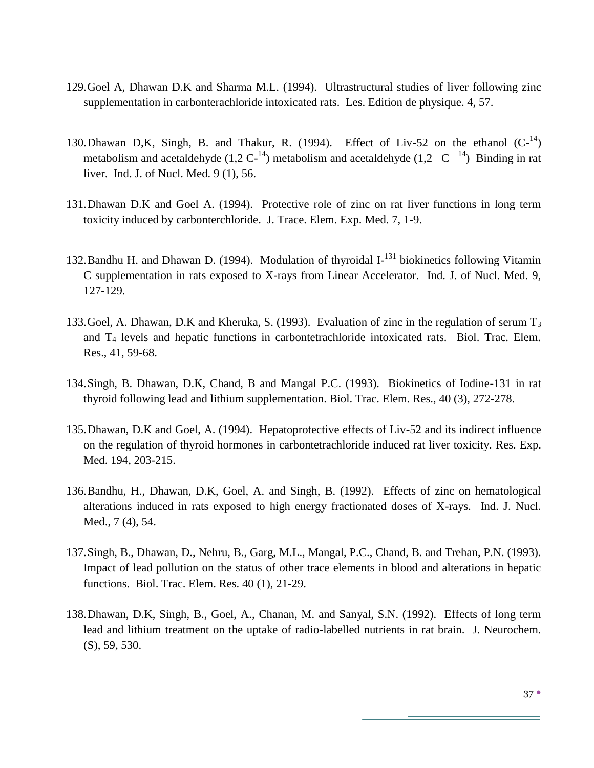- 129.Goel A, Dhawan D.K and Sharma M.L. (1994). Ultrastructural studies of liver following zinc supplementation in carbonterachloride intoxicated rats. Les. Edition de physique. 4, 57.
- 130. Dhawan D,K, Singh, B. and Thakur, R. (1994). Effect of Liv-52 on the ethanol  $(C^{-14})$ metabolism and acetaldehyde  $(1,2 \text{ C}^{-14})$  metabolism and acetaldehyde  $(1,2-\text{ C}^{-14})$  Binding in rat liver. Ind. J. of Nucl. Med. 9 (1), 56.
- 131.Dhawan D.K and Goel A. (1994). Protective role of zinc on rat liver functions in long term toxicity induced by carbonterchloride. J. Trace. Elem. Exp. Med. 7, 1-9.
- 132. Bandhu H. and Dhawan D. (1994). Modulation of thyroidal I-<sup>131</sup> biokinetics following Vitamin C supplementation in rats exposed to X-rays from Linear Accelerator. Ind. J. of Nucl. Med. 9, 127-129.
- 133. Goel, A. Dhawan, D.K and Kheruka, S. (1993). Evaluation of zinc in the regulation of serum  $T_3$ and T<sup>4</sup> levels and hepatic functions in carbontetrachloride intoxicated rats. Biol. Trac. Elem. Res., 41, 59-68.
- 134.Singh, B. Dhawan, D.K, Chand, B and Mangal P.C. (1993). Biokinetics of Iodine-131 in rat thyroid following lead and lithium supplementation. Biol. Trac. Elem. Res., 40 (3), 272-278.
- 135.Dhawan, D.K and Goel, A. (1994). Hepatoprotective effects of Liv-52 and its indirect influence on the regulation of thyroid hormones in carbontetrachloride induced rat liver toxicity. Res. Exp. Med. 194, 203-215.
- 136.Bandhu, H., Dhawan, D.K, Goel, A. and Singh, B. (1992). Effects of zinc on hematological alterations induced in rats exposed to high energy fractionated doses of X-rays. Ind. J. Nucl. Med., 7 (4), 54.
- 137.Singh, B., Dhawan, D., Nehru, B., Garg, M.L., Mangal, P.C., Chand, B. and Trehan, P.N. (1993). Impact of lead pollution on the status of other trace elements in blood and alterations in hepatic functions. Biol. Trac. Elem. Res. 40 (1), 21-29.
- 138.Dhawan, D.K, Singh, B., Goel, A., Chanan, M. and Sanyal, S.N. (1992). Effects of long term lead and lithium treatment on the uptake of radio-labelled nutrients in rat brain. J. Neurochem. (S), 59, 530.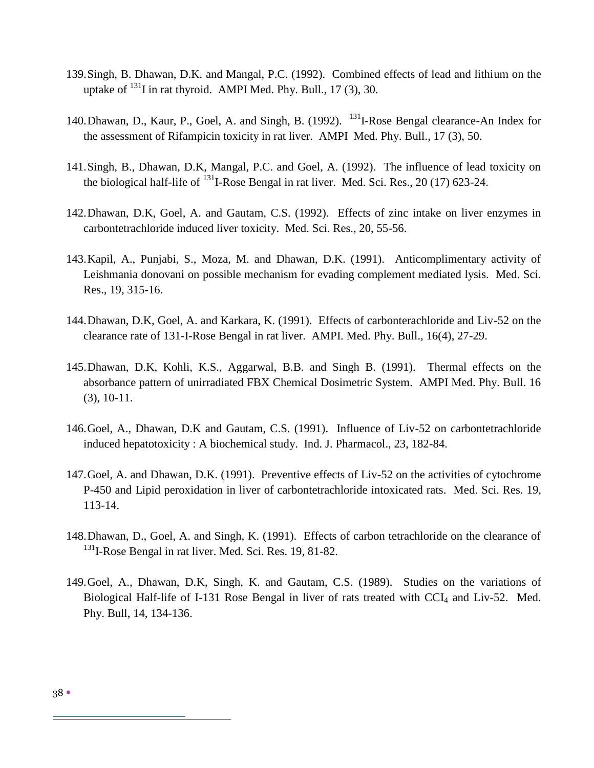- 139.Singh, B. Dhawan, D.K. and Mangal, P.C. (1992). Combined effects of lead and lithium on the uptake of  $^{131}$ I in rat thyroid. AMPI Med. Phy. Bull., 17 (3), 30.
- 140. Dhawan, D., Kaur, P., Goel, A. and Singh, B. (1992). <sup>131</sup>I-Rose Bengal clearance-An Index for the assessment of Rifampicin toxicity in rat liver. AMPI Med. Phy. Bull., 17 (3), 50.
- 141.Singh, B., Dhawan, D.K, Mangal, P.C. and Goel, A. (1992). The influence of lead toxicity on the biological half-life of  $^{131}$ I-Rose Bengal in rat liver. Med. Sci. Res., 20 (17) 623-24.
- 142.Dhawan, D.K, Goel, A. and Gautam, C.S. (1992). Effects of zinc intake on liver enzymes in carbontetrachloride induced liver toxicity. Med. Sci. Res., 20, 55-56.
- 143.Kapil, A., Punjabi, S., Moza, M. and Dhawan, D.K. (1991). Anticomplimentary activity of Leishmania donovani on possible mechanism for evading complement mediated lysis. Med. Sci. Res., 19, 315-16.
- 144.Dhawan, D.K, Goel, A. and Karkara, K. (1991). Effects of carbonterachloride and Liv-52 on the clearance rate of 131-I-Rose Bengal in rat liver. AMPI. Med. Phy. Bull., 16(4), 27-29.
- 145.Dhawan, D.K, Kohli, K.S., Aggarwal, B.B. and Singh B. (1991). Thermal effects on the absorbance pattern of unirradiated FBX Chemical Dosimetric System. AMPI Med. Phy. Bull. 16 (3), 10-11.
- 146.Goel, A., Dhawan, D.K and Gautam, C.S. (1991). Influence of Liv-52 on carbontetrachloride induced hepatotoxicity : A biochemical study. Ind. J. Pharmacol., 23, 182-84.
- 147.Goel, A. and Dhawan, D.K. (1991). Preventive effects of Liv-52 on the activities of cytochrome P-450 and Lipid peroxidation in liver of carbontetrachloride intoxicated rats. Med. Sci. Res. 19, 113-14.
- 148.Dhawan, D., Goel, A. and Singh, K. (1991). Effects of carbon tetrachloride on the clearance of <sup>131</sup>I-Rose Bengal in rat liver. Med. Sci. Res. 19, 81-82.
- 149.Goel, A., Dhawan, D.K, Singh, K. and Gautam, C.S. (1989). Studies on the variations of Biological Half-life of I-131 Rose Bengal in liver of rats treated with  $\text{CCI}_4$  and Liv-52. Med. Phy. Bull, 14, 134-136.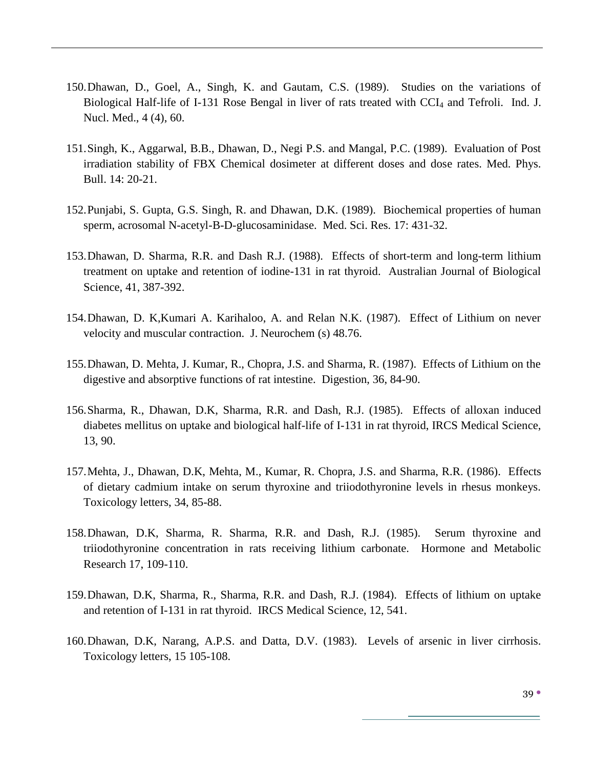- 150.Dhawan, D., Goel, A., Singh, K. and Gautam, C.S. (1989). Studies on the variations of Biological Half-life of I-131 Rose Bengal in liver of rats treated with  $\text{CCI}_4$  and Tefroli. Ind. J. Nucl. Med., 4 (4), 60.
- 151.Singh, K., Aggarwal, B.B., Dhawan, D., Negi P.S. and Mangal, P.C. (1989). Evaluation of Post irradiation stability of FBX Chemical dosimeter at different doses and dose rates. Med. Phys. Bull. 14: 20-21.
- 152.Punjabi, S. Gupta, G.S. Singh, R. and Dhawan, D.K. (1989). Biochemical properties of human sperm, acrosomal N-acetyl-B-D-glucosaminidase. Med. Sci. Res. 17: 431-32.
- 153.Dhawan, D. Sharma, R.R. and Dash R.J. (1988). Effects of short-term and long-term lithium treatment on uptake and retention of iodine-131 in rat thyroid. Australian Journal of Biological Science, 41, 387-392.
- 154.Dhawan, D. K,Kumari A. Karihaloo, A. and Relan N.K. (1987). Effect of Lithium on never velocity and muscular contraction. J. Neurochem (s) 48.76.
- 155.Dhawan, D. Mehta, J. Kumar, R., Chopra, J.S. and Sharma, R. (1987). Effects of Lithium on the digestive and absorptive functions of rat intestine. Digestion, 36, 84-90.
- 156.Sharma, R., Dhawan, D.K, Sharma, R.R. and Dash, R.J. (1985). Effects of alloxan induced diabetes mellitus on uptake and biological half-life of I-131 in rat thyroid, IRCS Medical Science, 13, 90.
- 157.Mehta, J., Dhawan, D.K, Mehta, M., Kumar, R. Chopra, J.S. and Sharma, R.R. (1986). Effects of dietary cadmium intake on serum thyroxine and triiodothyronine levels in rhesus monkeys. Toxicology letters, 34, 85-88.
- 158.Dhawan, D.K, Sharma, R. Sharma, R.R. and Dash, R.J. (1985). Serum thyroxine and triiodothyronine concentration in rats receiving lithium carbonate. Hormone and Metabolic Research 17, 109-110.
- 159.Dhawan, D.K, Sharma, R., Sharma, R.R. and Dash, R.J. (1984). Effects of lithium on uptake and retention of I-131 in rat thyroid. IRCS Medical Science, 12, 541.
- 160.Dhawan, D.K, Narang, A.P.S. and Datta, D.V. (1983). Levels of arsenic in liver cirrhosis. Toxicology letters, 15 105-108.